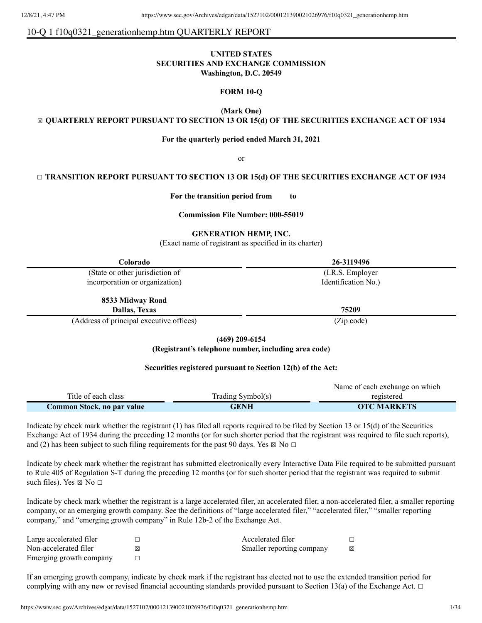# 10-Q 1 f10q0321\_generationhemp.htm QUARTERLY REPORT

## **UNITED STATES SECURITIES AND EXCHANGE COMMISSION Washington, D.C. 20549**

## **FORM 10-Q**

**(Mark One)**

☒ **QUARTERLY REPORT PURSUANT TO SECTION 13 OR 15(d) OF THE SECURITIES EXCHANGE ACT OF 1934**

#### **For the quarterly period ended March 31, 2021**

or

## ☐ **TRANSITION REPORT PURSUANT TO SECTION 13 OR 15(d) OF THE SECURITIES EXCHANGE ACT OF 1934**

**For the transition period from to**

#### **Commission File Number: 000-55019**

#### **GENERATION HEMP, INC.**

(Exact name of registrant as specified in its charter)

| Colorado                                 | 26-3119496          |
|------------------------------------------|---------------------|
| (State or other jurisdiction of          | (I.R.S. Employer)   |
| incorporation or organization)           | Identification No.) |
| 8533 Midway Road                         |                     |
| Dallas, Texas                            | 75209               |
| (Address of principal executive offices) | (Zip code)          |

**(469) 209-6154**

**(Registrant's telephone number, including area code)**

#### **Securities registered pursuant to Section 12(b) of the Act:**

| Common Stock, no par value | <b>GENH</b>       | <b>OTC MARKETS</b>                             |
|----------------------------|-------------------|------------------------------------------------|
| Title of each class        | Trading Symbol(s) | Traine of each exemange on which<br>registered |

Indicate by check mark whether the registrant (1) has filed all reports required to be filed by Section 13 or 15(d) of the Securities Exchange Act of 1934 during the preceding 12 months (or for such shorter period that the registrant was required to file such reports), and (2) has been subject to such filing requirements for the past 90 days. Yes  $\boxtimes$  No  $\Box$ 

Indicate by check mark whether the registrant has submitted electronically every Interactive Data File required to be submitted pursuant to Rule 405 of Regulation S-T during the preceding 12 months (or for such shorter period that the registrant was required to submit such files). Yes  $\boxtimes$  No  $\Box$ 

Indicate by check mark whether the registrant is a large accelerated filer, an accelerated filer, a non-accelerated filer, a smaller reporting company, or an emerging growth company. See the definitions of "large accelerated filer," "accelerated filer," "smaller reporting company," and "emerging growth company" in Rule 12b-2 of the Exchange Act.

| Large accelerated filer |   | Accelerated filer         |   |
|-------------------------|---|---------------------------|---|
| Non-accelerated filer   | ⊠ | Smaller reporting company | 冈 |
| Emerging growth company |   |                           |   |

If an emerging growth company, indicate by check mark if the registrant has elected not to use the extended transition period for complying with any new or revised financial accounting standards provided pursuant to Section 13(a) of the Exchange Act.  $\Box$ 

Name of each exchange on which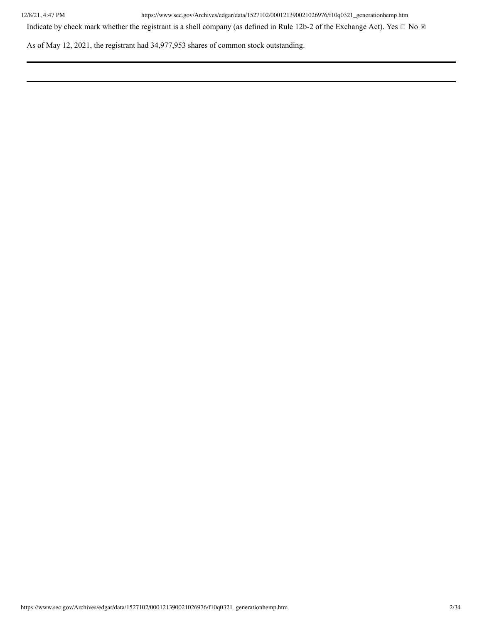Indicate by check mark whether the registrant is a shell company (as defined in Rule 12b-2 of the Exchange Act). Yes  $\Box$  No  $\boxtimes$ 

As of May 12, 2021, the registrant had 34,977,953 shares of common stock outstanding.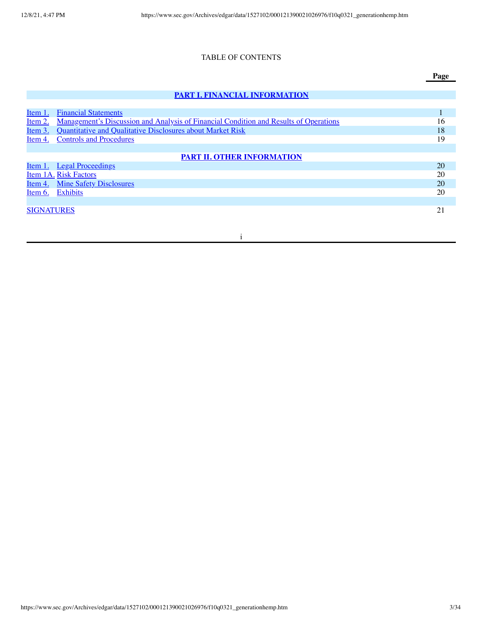## TABLE OF CONTENTS

# **PART I. FINANCIAL [INFORMATION](#page-5-0)**

| Item 1.           | <b>Financial Statements</b>                                                                  |    |
|-------------------|----------------------------------------------------------------------------------------------|----|
| <u>Item 2.</u>    | <u>Management's Discussion and Analysis of Financial Condition and Results of Operations</u> | 16 |
| <u>Item 3.</u>    | Quantitative and Qualitative Disclosures about Market Risk                                   | 18 |
| Item 4.           | <b>Controls and Procedures</b>                                                               | 19 |
|                   |                                                                                              |    |
|                   | <b>PART II. OTHER INFORMATION</b>                                                            |    |
|                   | <u>Item 1. Legal Proceedings</u>                                                             | 20 |
|                   | Item 1A. Risk Factors                                                                        | 20 |
|                   | <u>Item 4. Mine Safety Disclosures</u>                                                       | 20 |
| Item $6.$         | <b>Exhibits</b>                                                                              | 20 |
|                   |                                                                                              |    |
| <b>SIGNATURES</b> |                                                                                              | 21 |
|                   |                                                                                              |    |

i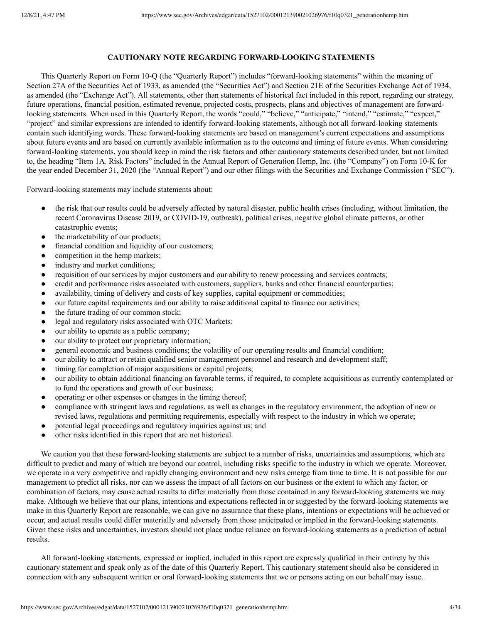## **CAUTIONARY NOTE REGARDING FORWARD-LOOKING STATEMENTS**

This Quarterly Report on Form 10-Q (the "Quarterly Report") includes "forward-looking statements" within the meaning of Section 27A of the Securities Act of 1933, as amended (the "Securities Act") and Section 21E of the Securities Exchange Act of 1934, as amended (the "Exchange Act"). All statements, other than statements of historical fact included in this report, regarding our strategy, future operations, financial position, estimated revenue, projected costs, prospects, plans and objectives of management are forwardlooking statements. When used in this Quarterly Report, the words "could," "believe," "anticipate," "intend," "estimate," "expect," "project" and similar expressions are intended to identify forward-looking statements, although not all forward-looking statements contain such identifying words. These forward-looking statements are based on management's current expectations and assumptions about future events and are based on currently available information as to the outcome and timing of future events. When considering forward-looking statements, you should keep in mind the risk factors and other cautionary statements described under, but not limited to, the heading "Item 1A. Risk Factors" included in the Annual Report of Generation Hemp, Inc. (the "Company") on Form 10-K for the year ended December 31, 2020 (the "Annual Report") and our other filings with the Securities and Exchange Commission ("SEC").

Forward-looking statements may include statements about:

- the risk that our results could be adversely affected by natural disaster, public health crises (including, without limitation, the recent Coronavirus Disease 2019, or COVID-19, outbreak), political crises, negative global climate patterns, or other catastrophic events;
- the marketability of our products;
- financial condition and liquidity of our customers;
- competition in the hemp markets;
- industry and market conditions;
- requisition of our services by major customers and our ability to renew processing and services contracts;
- credit and performance risks associated with customers, suppliers, banks and other financial counterparties;
- availability, timing of delivery and costs of key supplies, capital equipment or commodities;
- our future capital requirements and our ability to raise additional capital to finance our activities;
- the future trading of our common stock;
- legal and regulatory risks associated with OTC Markets;
- our ability to operate as a public company;
- our ability to protect our proprietary information;
- general economic and business conditions; the volatility of our operating results and financial condition;
- our ability to attract or retain qualified senior management personnel and research and development staff;
- timing for completion of major acquisitions or capital projects;
- our ability to obtain additional financing on favorable terms, if required, to complete acquisitions as currently contemplated or to fund the operations and growth of our business;
- operating or other expenses or changes in the timing thereof;
- compliance with stringent laws and regulations, as well as changes in the regulatory environment, the adoption of new or revised laws, regulations and permitting requirements, especially with respect to the industry in which we operate;
- potential legal proceedings and regulatory inquiries against us; and
- other risks identified in this report that are not historical.

We caution you that these forward-looking statements are subject to a number of risks, uncertainties and assumptions, which are difficult to predict and many of which are beyond our control, including risks specific to the industry in which we operate. Moreover, we operate in a very competitive and rapidly changing environment and new risks emerge from time to time. It is not possible for our management to predict all risks, nor can we assess the impact of all factors on our business or the extent to which any factor, or combination of factors, may cause actual results to differ materially from those contained in any forward-looking statements we may make. Although we believe that our plans, intentions and expectations reflected in or suggested by the forward-looking statements we make in this Quarterly Report are reasonable, we can give no assurance that these plans, intentions or expectations will be achieved or occur, and actual results could differ materially and adversely from those anticipated or implied in the forward-looking statements. Given these risks and uncertainties, investors should not place undue reliance on forward-looking statements as a prediction of actual results.

All forward-looking statements, expressed or implied, included in this report are expressly qualified in their entirety by this cautionary statement and speak only as of the date of this Quarterly Report. This cautionary statement should also be considered in connection with any subsequent written or oral forward-looking statements that we or persons acting on our behalf may issue.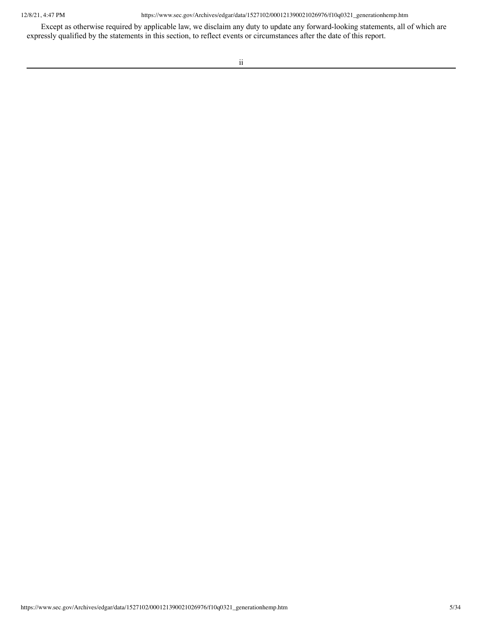Except as otherwise required by applicable law, we disclaim any duty to update any forward-looking statements, all of which are expressly qualified by the statements in this section, to reflect events or circumstances after the date of this report.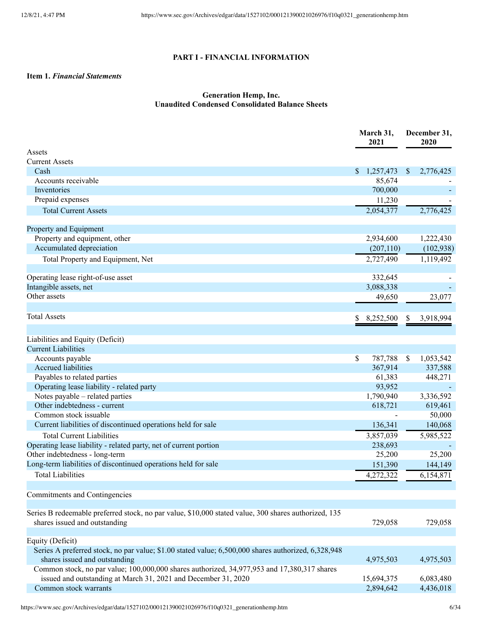# **PART I - FINANCIAL INFORMATION**

# <span id="page-5-1"></span><span id="page-5-0"></span>**Item 1.** *Financial Statements*

# **Generation Hemp, Inc. Unaudited Condensed Consolidated Balance Sheets**

|                                                                                                                                      |    | March 31,<br>2021 |               | December 31,<br>2020 |  |
|--------------------------------------------------------------------------------------------------------------------------------------|----|-------------------|---------------|----------------------|--|
| Assets                                                                                                                               |    |                   |               |                      |  |
| <b>Current Assets</b>                                                                                                                |    |                   |               |                      |  |
| Cash                                                                                                                                 | \$ | 1,257,473         | <sup>\$</sup> | 2,776,425            |  |
| Accounts receivable                                                                                                                  |    | 85,674            |               |                      |  |
| Inventories                                                                                                                          |    | 700,000           |               |                      |  |
| Prepaid expenses                                                                                                                     |    | 11,230            |               |                      |  |
| <b>Total Current Assets</b>                                                                                                          |    | 2,054,377         |               | 2,776,425            |  |
| Property and Equipment                                                                                                               |    |                   |               |                      |  |
| Property and equipment, other                                                                                                        |    | 2,934,600         |               | 1,222,430            |  |
| Accumulated depreciation                                                                                                             |    | (207, 110)        |               | (102,938)            |  |
| Total Property and Equipment, Net                                                                                                    |    | 2,727,490         |               | 1,119,492            |  |
|                                                                                                                                      |    |                   |               |                      |  |
| Operating lease right-of-use asset                                                                                                   |    | 332,645           |               |                      |  |
| Intangible assets, net                                                                                                               |    | 3,088,338         |               |                      |  |
| Other assets                                                                                                                         |    | 49,650            |               | 23,077               |  |
| <b>Total Assets</b>                                                                                                                  | S  | 8,252,500         | S             | 3,918,994            |  |
|                                                                                                                                      |    |                   |               |                      |  |
| Liabilities and Equity (Deficit)                                                                                                     |    |                   |               |                      |  |
| <b>Current Liabilities</b>                                                                                                           |    |                   |               |                      |  |
| Accounts payable                                                                                                                     | \$ | 787,788           | S             | 1,053,542            |  |
| <b>Accrued liabilities</b>                                                                                                           |    | 367,914           |               | 337,588              |  |
| Payables to related parties                                                                                                          |    | 61,383            |               | 448,271              |  |
| Operating lease liability - related party                                                                                            |    | 93,952            |               |                      |  |
| Notes payable – related parties                                                                                                      |    | 1,790,940         |               | 3,336,592            |  |
| Other indebtedness - current                                                                                                         |    | 618,721           |               | 619,461              |  |
| Common stock issuable                                                                                                                |    |                   |               | 50,000               |  |
| Current liabilities of discontinued operations held for sale                                                                         |    | 136,341           |               | 140,068              |  |
| <b>Total Current Liabilities</b>                                                                                                     |    | 3,857,039         |               | 5,985,522            |  |
| Operating lease liability - related party, net of current portion                                                                    |    | 238,693           |               |                      |  |
| Other indebtedness - long-term                                                                                                       |    | 25,200            |               | 25,200               |  |
| Long-term liabilities of discontinued operations held for sale                                                                       |    | 151,390           |               | 144,149              |  |
| <b>Total Liabilities</b>                                                                                                             |    | 4,272,322         |               | 6,154,871            |  |
|                                                                                                                                      |    |                   |               |                      |  |
| Commitments and Contingencies                                                                                                        |    |                   |               |                      |  |
| Series B redeemable preferred stock, no par value, \$10,000 stated value, 300 shares authorized, 135                                 |    |                   |               |                      |  |
| shares issued and outstanding                                                                                                        |    | 729,058           |               | 729,058              |  |
|                                                                                                                                      |    |                   |               |                      |  |
| Equity (Deficit)                                                                                                                     |    |                   |               |                      |  |
| Series A preferred stock, no par value; \$1.00 stated value; 6,500,000 shares authorized, 6,328,948<br>shares issued and outstanding |    | 4,975,503         |               | 4,975,503            |  |
| Common stock, no par value; 100,000,000 shares authorized, 34,977,953 and 17,380,317 shares                                          |    |                   |               |                      |  |
| issued and outstanding at March 31, 2021 and December 31, 2020                                                                       |    | 15,694,375        |               | 6,083,480            |  |
| Common stock warrants                                                                                                                |    | 2,894,642         |               | 4,436,018            |  |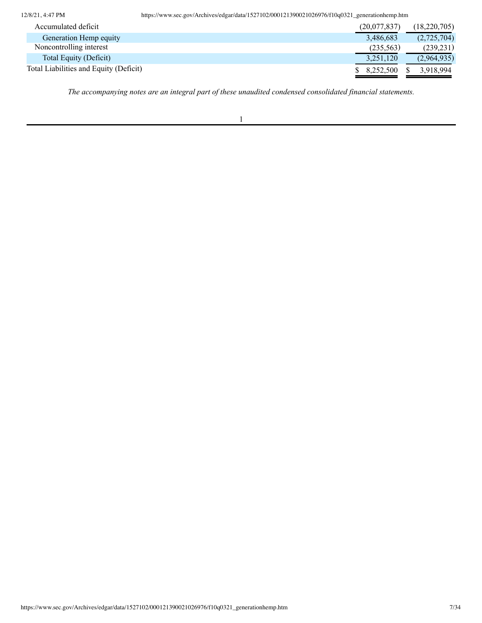| Accumulated deficit                    |  |  |  |  | (20,077,837) | (18, 220, 705) |
|----------------------------------------|--|--|--|--|--------------|----------------|
| Generation Hemp equity                 |  |  |  |  | 3,486,683    | (2,725,704)    |
| Noncontrolling interest                |  |  |  |  | (235, 563)   | (239, 231)     |
| Total Equity (Deficit)                 |  |  |  |  | 3,251,120    | (2,964,935)    |
| Total Liabilities and Equity (Deficit) |  |  |  |  | 8.252.500    | 3,918,994      |

*The accompanying notes are an integral part of these unaudited condensed consolidated financial statements.*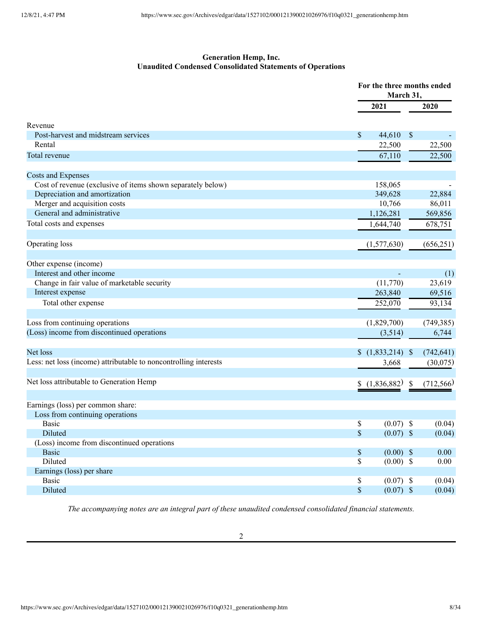# **Generation Hemp, Inc. Unaudited Condensed Consolidated Statements of Operations**

|                                                                  |                             | For the three months ended<br>March 31, |            |  |  |
|------------------------------------------------------------------|-----------------------------|-----------------------------------------|------------|--|--|
|                                                                  | 2021                        |                                         | 2020       |  |  |
| Revenue                                                          |                             |                                         |            |  |  |
| Post-harvest and midstream services                              | \$<br>44,610                | $\boldsymbol{\mathsf{S}}$               |            |  |  |
| Rental                                                           | 22,500                      |                                         | 22,500     |  |  |
| Total revenue                                                    | 67,110                      |                                         | 22,500     |  |  |
| Costs and Expenses                                               |                             |                                         |            |  |  |
| Cost of revenue (exclusive of items shown separately below)      | 158,065                     |                                         |            |  |  |
| Depreciation and amortization                                    | 349,628                     |                                         | 22,884     |  |  |
| Merger and acquisition costs                                     | 10,766                      |                                         | 86,011     |  |  |
| General and administrative                                       | 1,126,281                   |                                         | 569,856    |  |  |
| Total costs and expenses                                         | 1,644,740                   |                                         | 678,751    |  |  |
| Operating loss                                                   | (1,577,630)                 |                                         | (656, 251) |  |  |
| Other expense (income)                                           |                             |                                         |            |  |  |
| Interest and other income                                        |                             |                                         | (1)        |  |  |
| Change in fair value of marketable security                      | (11,770)                    |                                         | 23,619     |  |  |
| Interest expense                                                 | 263,840                     |                                         | 69,516     |  |  |
| Total other expense                                              | 252,070                     |                                         | 93,134     |  |  |
|                                                                  |                             |                                         |            |  |  |
| Loss from continuing operations                                  | (1,829,700)                 |                                         | (749, 385) |  |  |
| (Loss) income from discontinued operations                       | (3,514)                     |                                         | 6,744      |  |  |
|                                                                  |                             |                                         |            |  |  |
| Net loss                                                         | $$(1,833,214)$ \\$          |                                         | (742, 641) |  |  |
| Less: net loss (income) attributable to noncontrolling interests | 3,668                       |                                         | (30,075)   |  |  |
| Net loss attributable to Generation Hemp                         | (1,836,882)                 | S                                       | (712, 566) |  |  |
|                                                                  |                             |                                         |            |  |  |
| Earnings (loss) per common share:                                |                             |                                         |            |  |  |
| Loss from continuing operations                                  |                             |                                         |            |  |  |
| <b>Basic</b>                                                     | \$<br>$(0.07)$ \$           |                                         | (0.04)     |  |  |
| Diluted                                                          | \$<br>$(0.07)$ \$           |                                         | (0.04)     |  |  |
| (Loss) income from discontinued operations                       |                             |                                         |            |  |  |
| <b>Basic</b>                                                     | $\mathbb{S}$<br>$(0.00)$ \$ |                                         | 0.00       |  |  |
| Diluted                                                          | \$<br>$(0.00)$ \$           |                                         | 0.00       |  |  |
| Earnings (loss) per share                                        |                             |                                         |            |  |  |
| <b>Basic</b>                                                     | \$<br>$(0.07)$ \$           |                                         | (0.04)     |  |  |
| Diluted                                                          | $\mathbb S$<br>$(0.07)$ \$  |                                         | (0.04)     |  |  |

*The accompanying notes are an integral part of these unaudited condensed consolidated financial statements.*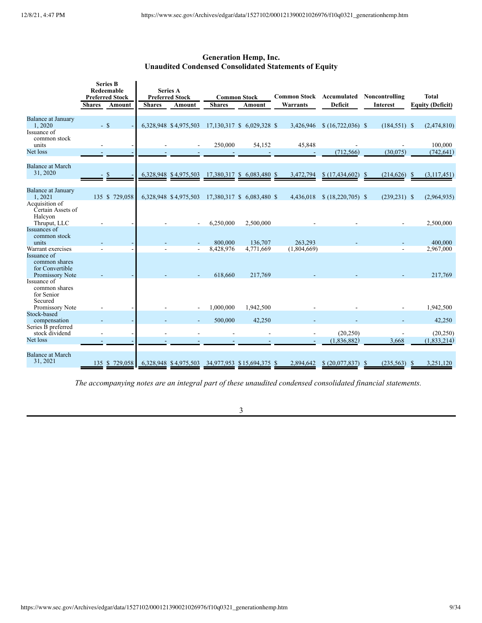# **Generation Hemp, Inc. Unaudited Condensed Consolidated Statements of Equity**

|                                                                                         | <b>Shares</b> | <b>Series B</b><br>Redeemable<br><b>Preferred Stock</b><br>Amount | <b>Shares</b> | <b>Series A</b><br><b>Preferred Stock</b><br>Amount | <b>Shares</b>        | <b>Common Stock</b><br>Amount | <b>Common Stock Accumulated</b><br>Warrants | <b>Deficit</b>    | Noncontrolling<br><b>Interest</b> | <b>Total</b><br><b>Equity (Deficit)</b> |
|-----------------------------------------------------------------------------------------|---------------|-------------------------------------------------------------------|---------------|-----------------------------------------------------|----------------------|-------------------------------|---------------------------------------------|-------------------|-----------------------------------|-----------------------------------------|
| <b>Balance at January</b><br>1,2020<br>Issuance of                                      |               | $-$ \$                                                            |               | 6,328,948 \$4,975,503                               |                      | 17,130,317 \$ 6,029,328 \$    | 3,426,946                                   | $(16,722,036)$ \$ | $(184, 551)$ \$                   | (2,474,810)                             |
| common stock<br>units                                                                   |               |                                                                   |               |                                                     | 250,000              | 54,152                        | 45,848                                      |                   |                                   | 100,000                                 |
| Net loss                                                                                |               |                                                                   |               |                                                     |                      |                               |                                             | (712, 566)        | (30,075)                          | (742, 641)                              |
| <b>Balance at March</b><br>31, 2020                                                     |               |                                                                   |               | 6,328,948 \$4,975,503                               |                      | 17,380,317 \$ 6,083,480 \$    | 3,472,794                                   | \$(17, 434, 602)  | (214, 626)<br><sup>\$</sup>       | (3,117,451)<br>-S                       |
| <b>Balance at January</b><br>1,2021                                                     |               | 135 \$ 729,058                                                    |               | 6,328,948 \$4,975,503                               |                      | 17,380,317 \$ 6,083,480 \$    | 4,436,018                                   | $(18,220,705)$ \$ | $(239, 231)$ \$                   | (2,964,935)                             |
| Acquisition of<br>Certain Assets of<br>Halcyon<br>Thruput, LLC                          |               |                                                                   |               |                                                     | 6,250,000            | 2,500,000                     |                                             |                   |                                   | 2,500,000                               |
| Issuances of<br>common stock<br>units                                                   |               |                                                                   |               |                                                     | 800,000              | 136,707                       | 263,293                                     |                   |                                   | 400,000                                 |
| Warrant exercises<br>Issuance of<br>common shares<br>for Convertible<br>Promissory Note |               |                                                                   |               |                                                     | 8,428,976<br>618,660 | 4.771.669<br>217,769          | (1,804,669)                                 |                   |                                   | 2,967,000<br>217,769                    |
| Issuance of<br>common shares<br>for Senior<br>Secured                                   |               |                                                                   |               |                                                     |                      |                               |                                             |                   |                                   |                                         |
| Promissory Note<br>Stock-based                                                          |               |                                                                   |               |                                                     | 1,000,000            | 1,942,500                     |                                             |                   |                                   | 1,942,500                               |
| compensation                                                                            |               |                                                                   |               |                                                     | 500,000              | 42,250                        |                                             |                   |                                   | 42,250                                  |
| Series B preferred<br>stock dividend                                                    |               |                                                                   |               |                                                     |                      |                               |                                             | (20, 250)         |                                   | (20, 250)                               |
| Net loss                                                                                |               |                                                                   |               |                                                     |                      |                               |                                             | (1,836,882)       | 3,668                             | (1, 833, 214)                           |
| <b>Balance at March</b><br>31, 2021                                                     |               | 135 \$ 729,058                                                    |               | 6,328,948 \$4,975,503                               |                      | 34,977,953 \$15,694,375 \$    | 2,894,642                                   | \$ (20,077,837)   | (235, 563)                        | 3,251,120                               |

*The accompanying notes are an integral part of these unaudited condensed consolidated financial statements.*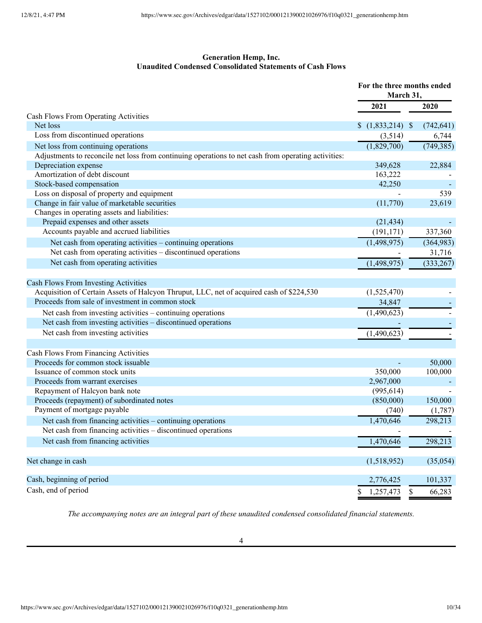# **Generation Hemp, Inc. Unaudited Condensed Consolidated Statements of Cash Flows**

|                                                                                                     | For the three months ended<br>March 31, |            |  |
|-----------------------------------------------------------------------------------------------------|-----------------------------------------|------------|--|
|                                                                                                     | 2021                                    | 2020       |  |
| Cash Flows From Operating Activities                                                                |                                         |            |  |
| Net loss                                                                                            | $$(1,833,214)$ \\$                      | (742, 641) |  |
| Loss from discontinued operations                                                                   | (3,514)                                 | 6,744      |  |
| Net loss from continuing operations                                                                 | (1,829,700)                             | (749, 385) |  |
| Adjustments to reconcile net loss from continuing operations to net cash from operating activities: |                                         |            |  |
| Depreciation expense                                                                                | 349,628                                 | 22,884     |  |
| Amortization of debt discount                                                                       | 163,222                                 |            |  |
| Stock-based compensation                                                                            | 42,250                                  |            |  |
| Loss on disposal of property and equipment                                                          |                                         | 539        |  |
| Change in fair value of marketable securities                                                       | (11,770)                                | 23,619     |  |
| Changes in operating assets and liabilities:                                                        |                                         |            |  |
| Prepaid expenses and other assets                                                                   | (21, 434)                               |            |  |
| Accounts payable and accrued liabilities                                                            | (191, 171)                              | 337,360    |  |
| Net cash from operating activities – continuing operations                                          | (1,498,975)                             | (364, 983) |  |
| Net cash from operating activities – discontinued operations                                        |                                         | 31,716     |  |
| Net cash from operating activities                                                                  | (1,498,975)                             | (333, 267) |  |
| <b>Cash Flows From Investing Activities</b>                                                         |                                         |            |  |
| Acquisition of Certain Assets of Halcyon Thruput, LLC, net of acquired cash of \$224,530            | (1,525,470)                             |            |  |
| Proceeds from sale of investment in common stock                                                    | 34,847                                  |            |  |
| Net cash from investing activities – continuing operations                                          | $\overline{(1,490,623)}$                |            |  |
| Net cash from investing activities – discontinued operations                                        |                                         |            |  |
| Net cash from investing activities                                                                  |                                         |            |  |
|                                                                                                     | (1,490,623)                             |            |  |
| Cash Flows From Financing Activities                                                                |                                         |            |  |
| Proceeds for common stock issuable                                                                  |                                         | 50,000     |  |
| Issuance of common stock units                                                                      | 350,000                                 | 100,000    |  |
| Proceeds from warrant exercises                                                                     | 2,967,000                               |            |  |
| Repayment of Halcyon bank note                                                                      | (995, 614)                              |            |  |
| Proceeds (repayment) of subordinated notes                                                          | (850,000)                               | 150,000    |  |
| Payment of mortgage payable                                                                         | (740)                                   | (1,787)    |  |
| Net cash from financing activities - continuing operations                                          | 1,470,646                               | 298,213    |  |
| Net cash from financing activities – discontinued operations                                        |                                         |            |  |
| Net cash from financing activities                                                                  | 1,470,646                               | 298,213    |  |
|                                                                                                     |                                         |            |  |
| Net change in cash                                                                                  | (1,518,952)                             | (35,054)   |  |
| Cash, beginning of period                                                                           | 2,776,425                               | 101,337    |  |
| Cash, end of period                                                                                 | \$<br>1,257,473<br>\$                   | 66,283     |  |

*The accompanying notes are an integral part of these unaudited condensed consolidated financial statements.*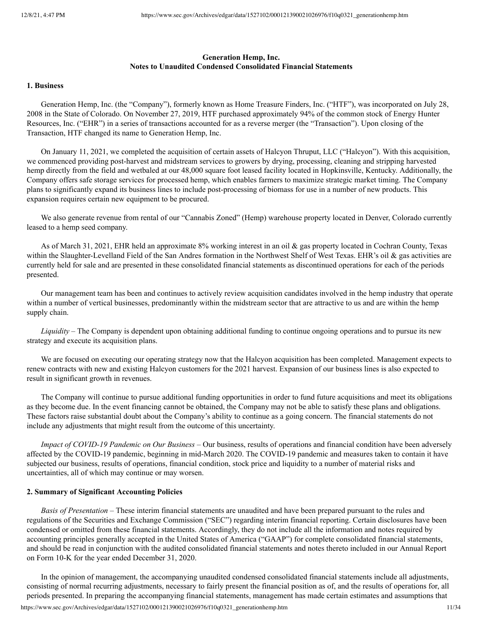## **Generation Hemp, Inc. Notes to Unaudited Condensed Consolidated Financial Statements**

#### **1. Business**

Generation Hemp, Inc. (the "Company"), formerly known as Home Treasure Finders, Inc. ("HTF"), was incorporated on July 28, 2008 in the State of Colorado. On November 27, 2019, HTF purchased approximately 94% of the common stock of Energy Hunter Resources, Inc. ("EHR") in a series of transactions accounted for as a reverse merger (the "Transaction"). Upon closing of the Transaction, HTF changed its name to Generation Hemp, Inc.

On January 11, 2021, we completed the acquisition of certain assets of Halcyon Thruput, LLC ("Halcyon"). With this acquisition, we commenced providing post-harvest and midstream services to growers by drying, processing, cleaning and stripping harvested hemp directly from the field and wetbaled at our 48,000 square foot leased facility located in Hopkinsville, Kentucky. Additionally, the Company offers safe storage services for processed hemp, which enables farmers to maximize strategic market timing. The Company plans to significantly expand its business lines to include post-processing of biomass for use in a number of new products. This expansion requires certain new equipment to be procured.

We also generate revenue from rental of our "Cannabis Zoned" (Hemp) warehouse property located in Denver, Colorado currently leased to a hemp seed company.

As of March 31, 2021, EHR held an approximate 8% working interest in an oil & gas property located in Cochran County, Texas within the Slaughter-Levelland Field of the San Andres formation in the Northwest Shelf of West Texas. EHR's oil & gas activities are currently held for sale and are presented in these consolidated financial statements as discontinued operations for each of the periods presented.

Our management team has been and continues to actively review acquisition candidates involved in the hemp industry that operate within a number of vertical businesses, predominantly within the midstream sector that are attractive to us and are within the hemp supply chain.

*Liquidity –* The Company is dependent upon obtaining additional funding to continue ongoing operations and to pursue its new strategy and execute its acquisition plans.

We are focused on executing our operating strategy now that the Halcyon acquisition has been completed. Management expects to renew contracts with new and existing Halcyon customers for the 2021 harvest. Expansion of our business lines is also expected to result in significant growth in revenues.

The Company will continue to pursue additional funding opportunities in order to fund future acquisitions and meet its obligations as they become due. In the event financing cannot be obtained, the Company may not be able to satisfy these plans and obligations. These factors raise substantial doubt about the Company's ability to continue as a going concern. The financial statements do not include any adjustments that might result from the outcome of this uncertainty.

*Impact of COVID-19 Pandemic on Our Business –* Our business, results of operations and financial condition have been adversely affected by the COVID-19 pandemic, beginning in mid-March 2020. The COVID-19 pandemic and measures taken to contain it have subjected our business, results of operations, financial condition, stock price and liquidity to a number of material risks and uncertainties, all of which may continue or may worsen.

#### **2. Summary of Significant Accounting Policies**

*Basis of Presentation* – These interim financial statements are unaudited and have been prepared pursuant to the rules and regulations of the Securities and Exchange Commission ("SEC") regarding interim financial reporting. Certain disclosures have been condensed or omitted from these financial statements. Accordingly, they do not include all the information and notes required by accounting principles generally accepted in the United States of America ("GAAP") for complete consolidated financial statements, and should be read in conjunction with the audited consolidated financial statements and notes thereto included in our Annual Report on Form 10-K for the year ended December 31, 2020.

In the opinion of management, the accompanying unaudited condensed consolidated financial statements include all adjustments, consisting of normal recurring adjustments, necessary to fairly present the financial position as of, and the results of operations for, all periods presented. In preparing the accompanying financial statements, management has made certain estimates and assumptions that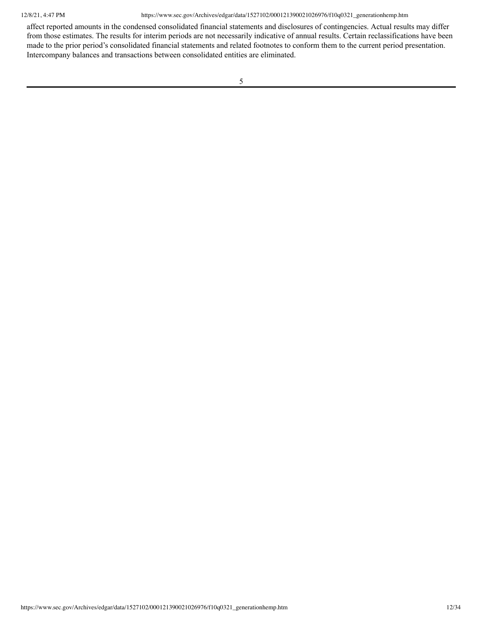affect reported amounts in the condensed consolidated financial statements and disclosures of contingencies. Actual results may differ from those estimates. The results for interim periods are not necessarily indicative of annual results. Certain reclassifications have been made to the prior period's consolidated financial statements and related footnotes to conform them to the current period presentation. Intercompany balances and transactions between consolidated entities are eliminated.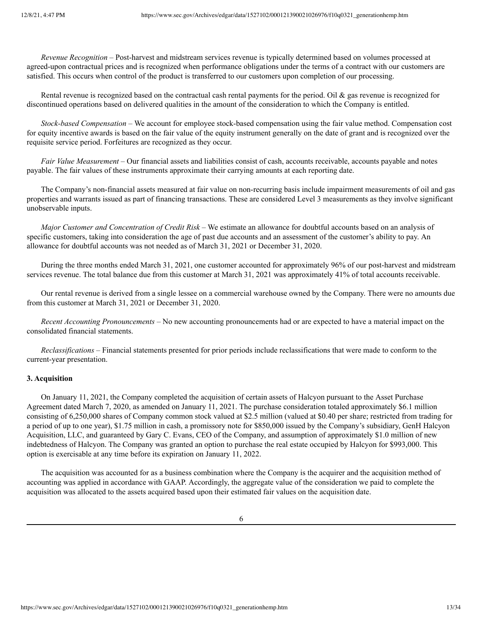*Revenue Recognition* – Post-harvest and midstream services revenue is typically determined based on volumes processed at agreed-upon contractual prices and is recognized when performance obligations under the terms of a contract with our customers are satisfied. This occurs when control of the product is transferred to our customers upon completion of our processing.

Rental revenue is recognized based on the contractual cash rental payments for the period. Oil & gas revenue is recognized for discontinued operations based on delivered qualities in the amount of the consideration to which the Company is entitled.

*Stock-based Compensation –* We account for employee stock-based compensation using the fair value method. Compensation cost for equity incentive awards is based on the fair value of the equity instrument generally on the date of grant and is recognized over the requisite service period. Forfeitures are recognized as they occur.

*Fair Value Measurement* – Our financial assets and liabilities consist of cash, accounts receivable, accounts payable and notes payable. The fair values of these instruments approximate their carrying amounts at each reporting date.

The Company's non-financial assets measured at fair value on non-recurring basis include impairment measurements of oil and gas properties and warrants issued as part of financing transactions. These are considered Level 3 measurements as they involve significant unobservable inputs.

*Major Customer and Concentration of Credit Risk* – We estimate an allowance for doubtful accounts based on an analysis of specific customers, taking into consideration the age of past due accounts and an assessment of the customer's ability to pay. An allowance for doubtful accounts was not needed as of March 31, 2021 or December 31, 2020.

During the three months ended March 31, 2021, one customer accounted for approximately 96% of our post-harvest and midstream services revenue. The total balance due from this customer at March 31, 2021 was approximately 41% of total accounts receivable.

Our rental revenue is derived from a single lessee on a commercial warehouse owned by the Company. There were no amounts due from this customer at March 31, 2021 or December 31, 2020.

*Recent Accounting Pronouncements –* No new accounting pronouncements had or are expected to have a material impact on the consolidated financial statements.

*Reclassifications* – Financial statements presented for prior periods include reclassifications that were made to conform to the current-year presentation.

## **3. Acquisition**

On January 11, 2021, the Company completed the acquisition of certain assets of Halcyon pursuant to the Asset Purchase Agreement dated March 7, 2020, as amended on January 11, 2021. The purchase consideration totaled approximately \$6.1 million consisting of 6,250,000 shares of Company common stock valued at \$2.5 million (valued at \$0.40 per share; restricted from trading for a period of up to one year), \$1.75 million in cash, a promissory note for \$850,000 issued by the Company's subsidiary, GenH Halcyon Acquisition, LLC, and guaranteed by Gary C. Evans, CEO of the Company, and assumption of approximately \$1.0 million of new indebtedness of Halcyon. The Company was granted an option to purchase the real estate occupied by Halcyon for \$993,000. This option is exercisable at any time before its expiration on January 11, 2022.

The acquisition was accounted for as a business combination where the Company is the acquirer and the acquisition method of accounting was applied in accordance with GAAP. Accordingly, the aggregate value of the consideration we paid to complete the acquisition was allocated to the assets acquired based upon their estimated fair values on the acquisition date.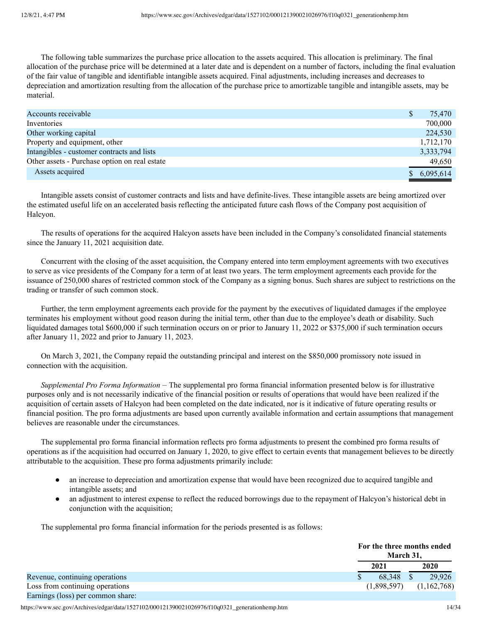The following table summarizes the purchase price allocation to the assets acquired. This allocation is preliminary. The final allocation of the purchase price will be determined at a later date and is dependent on a number of factors, including the final evaluation of the fair value of tangible and identifiable intangible assets acquired. Final adjustments, including increases and decreases to depreciation and amortization resulting from the allocation of the purchase price to amortizable tangible and intangible assets, may be material.

| Accounts receivable                           | 75,470      |
|-----------------------------------------------|-------------|
| Inventories                                   | 700,000     |
| Other working capital                         | 224,530     |
| Property and equipment, other                 | 1,712,170   |
| Intangibles - customer contracts and lists    | 3,333,794   |
| Other assets - Purchase option on real estate | 49,650      |
| Assets acquired                               | \$6,095,614 |

Intangible assets consist of customer contracts and lists and have definite-lives. These intangible assets are being amortized over the estimated useful life on an accelerated basis reflecting the anticipated future cash flows of the Company post acquisition of Halcyon.

The results of operations for the acquired Halcyon assets have been included in the Company's consolidated financial statements since the January 11, 2021 acquisition date.

Concurrent with the closing of the asset acquisition, the Company entered into term employment agreements with two executives to serve as vice presidents of the Company for a term of at least two years. The term employment agreements each provide for the issuance of 250,000 shares of restricted common stock of the Company as a signing bonus. Such shares are subject to restrictions on the trading or transfer of such common stock.

Further, the term employment agreements each provide for the payment by the executives of liquidated damages if the employee terminates his employment without good reason during the initial term, other than due to the employee's death or disability. Such liquidated damages total \$600,000 if such termination occurs on or prior to January 11, 2022 or \$375,000 if such termination occurs after January 11, 2022 and prior to January 11, 2023.

On March 3, 2021, the Company repaid the outstanding principal and interest on the \$850,000 promissory note issued in connection with the acquisition.

*Supplemental Pro Forma Information* – The supplemental pro forma financial information presented below is for illustrative purposes only and is not necessarily indicative of the financial position or results of operations that would have been realized if the acquisition of certain assets of Halcyon had been completed on the date indicated, nor is it indicative of future operating results or financial position. The pro forma adjustments are based upon currently available information and certain assumptions that management believes are reasonable under the circumstances.

The supplemental pro forma financial information reflects pro forma adjustments to present the combined pro forma results of operations as if the acquisition had occurred on January 1, 2020, to give effect to certain events that management believes to be directly attributable to the acquisition. These pro forma adjustments primarily include:

- an increase to depreciation and amortization expense that would have been recognized due to acquired tangible and intangible assets; and
- an adjustment to interest expense to reflect the reduced borrowings due to the repayment of Halcyon's historical debt in conjunction with the acquisition;

The supplemental pro forma financial information for the periods presented is as follows:

|                                   | For the three months ended<br>March 31. |             |
|-----------------------------------|-----------------------------------------|-------------|
|                                   | 2021                                    | 2020        |
| Revenue, continuing operations    | 68.348 \$                               | 29.926      |
| Loss from continuing operations   | (1,898,597)                             | (1,162,768) |
| Earnings (loss) per common share: |                                         |             |

https://www.sec.gov/Archives/edgar/data/1527102/000121390021026976/f10q0321\_generationhemp.htm 14/34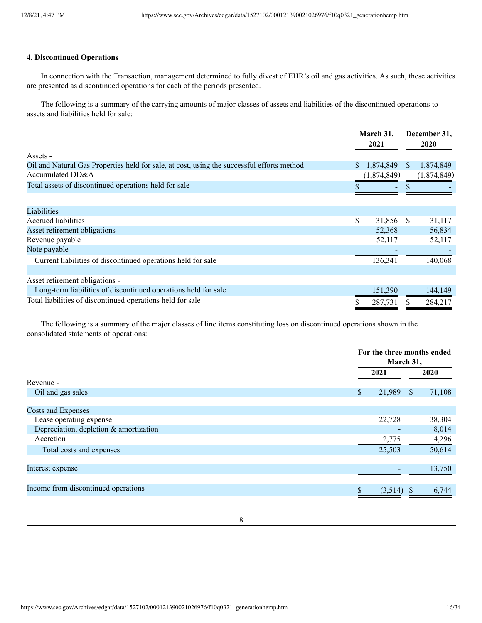## **4. Discontinued Operations**

In connection with the Transaction, management determined to fully divest of EHR's oil and gas activities. As such, these activities are presented as discontinued operations for each of the periods presented.

The following is a summary of the carrying amounts of major classes of assets and liabilities of the discontinued operations to assets and liabilities held for sale:

|                                                                                            |    | March 31,<br>2021 |              | December 31,<br>2020 |
|--------------------------------------------------------------------------------------------|----|-------------------|--------------|----------------------|
| Assets -                                                                                   |    |                   |              |                      |
| Oil and Natural Gas Properties held for sale, at cost, using the successful efforts method | S. | 1,874,849         | <sup>S</sup> | 1,874,849            |
| Accumulated DD&A                                                                           |    | (1,874,849)       |              | (1,874,849)          |
| Total assets of discontinued operations held for sale                                      |    |                   |              |                      |
|                                                                                            |    |                   |              |                      |
| Liabilities                                                                                |    |                   |              |                      |
| Accrued liabilities                                                                        | \$ | 31,856            | -S           | 31,117               |
| Asset retirement obligations                                                               |    | 52,368            |              | 56,834               |
| Revenue payable                                                                            |    | 52,117            |              | 52,117               |
| Note payable                                                                               |    |                   |              |                      |
| Current liabilities of discontinued operations held for sale                               |    | 136,341           |              | 140,068              |
|                                                                                            |    |                   |              |                      |
| Asset retirement obligations -                                                             |    |                   |              |                      |
| Long-term liabilities of discontinued operations held for sale                             |    | 151,390           |              | 144,149              |
| Total liabilities of discontinued operations held for sale                                 |    | 287,731           |              | 284,217              |

The following is a summary of the major classes of line items constituting loss on discontinued operations shown in the consolidated statements of operations:

|                                        |              | For the three months ended<br>March 31, |  |
|----------------------------------------|--------------|-----------------------------------------|--|
|                                        | 2021         | 2020                                    |  |
| Revenue -                              |              |                                         |  |
| Oil and gas sales                      | 21,989<br>\$ | 71,108<br><sup>S</sup>                  |  |
|                                        |              |                                         |  |
| Costs and Expenses                     |              |                                         |  |
| Lease operating expense                | 22,728       | 38,304                                  |  |
| Depreciation, depletion & amortization |              | 8,014                                   |  |
| Accretion                              | 2,775        | 4,296                                   |  |
| Total costs and expenses               | 25,503       | 50,614                                  |  |
|                                        |              |                                         |  |
| Interest expense                       |              | 13,750                                  |  |
|                                        |              |                                         |  |
| Income from discontinued operations    | $(3,514)$ \$ | 6,744                                   |  |
|                                        |              |                                         |  |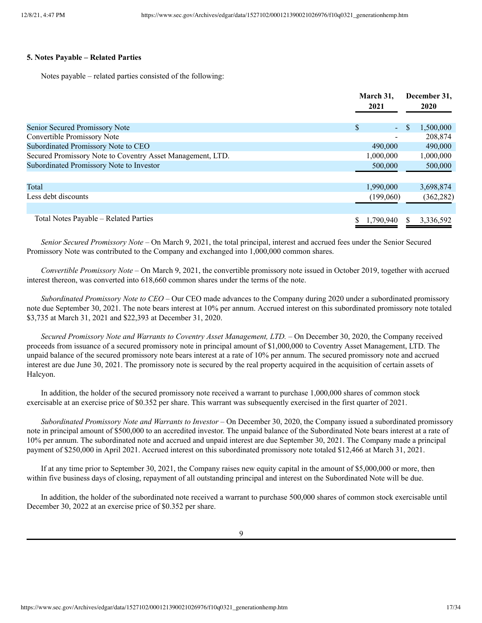#### **5. Notes Payable – Related Parties**

Notes payable – related parties consisted of the following:

|                                                            | March 31.<br>2021 | December 31,<br><b>2020</b> |
|------------------------------------------------------------|-------------------|-----------------------------|
| Senior Secured Promissory Note                             | \$<br>$\omega$    | \$<br>1,500,000             |
| Convertible Promissory Note                                | $\qquad \qquad$   | 208,874                     |
| Subordinated Promissory Note to CEO                        | 490,000           | 490,000                     |
| Secured Promissory Note to Coventry Asset Management, LTD. | 1,000,000         | 1,000,000                   |
| Subordinated Promissory Note to Investor                   | 500,000           | 500,000                     |
|                                                            |                   |                             |
| Total                                                      | 1,990,000         | 3,698,874                   |
| Less debt discounts                                        | (199,060)         | (362, 282)                  |
|                                                            |                   |                             |
| Total Notes Payable – Related Parties                      | 1,790,940         | 3,336,592                   |

*Senior Secured Promissory Note –* On March 9, 2021, the total principal, interest and accrued fees under the Senior Secured Promissory Note was contributed to the Company and exchanged into 1,000,000 common shares.

*Convertible Promissory Note –* On March 9, 2021, the convertible promissory note issued in October 2019, together with accrued interest thereon, was converted into 618,660 common shares under the terms of the note.

*Subordinated Promissory Note to CEO –* Our CEO made advances to the Company during 2020 under a subordinated promissory note due September 30, 2021. The note bears interest at 10% per annum. Accrued interest on this subordinated promissory note totaled \$3,735 at March 31, 2021 and \$22,393 at December 31, 2020.

*Secured Promissory Note and Warrants to Coventry Asset Management, LTD. –* On December 30, 2020, the Company received proceeds from issuance of a secured promissory note in principal amount of \$1,000,000 to Coventry Asset Management, LTD. The unpaid balance of the secured promissory note bears interest at a rate of 10% per annum. The secured promissory note and accrued interest are due June 30, 2021. The promissory note is secured by the real property acquired in the acquisition of certain assets of Halcyon.

In addition, the holder of the secured promissory note received a warrant to purchase 1,000,000 shares of common stock exercisable at an exercise price of \$0.352 per share. This warrant was subsequently exercised in the first quarter of 2021.

*Subordinated Promissory Note and Warrants to Investor* – On December 30, 2020, the Company issued a subordinated promissory note in principal amount of \$500,000 to an accredited investor. The unpaid balance of the Subordinated Note bears interest at a rate of 10% per annum. The subordinated note and accrued and unpaid interest are due September 30, 2021. The Company made a principal payment of \$250,000 in April 2021. Accrued interest on this subordinated promissory note totaled \$12,466 at March 31, 2021.

If at any time prior to September 30, 2021, the Company raises new equity capital in the amount of \$5,000,000 or more, then within five business days of closing, repayment of all outstanding principal and interest on the Subordinated Note will be due.

In addition, the holder of the subordinated note received a warrant to purchase 500,000 shares of common stock exercisable until December 30, 2022 at an exercise price of \$0.352 per share.

9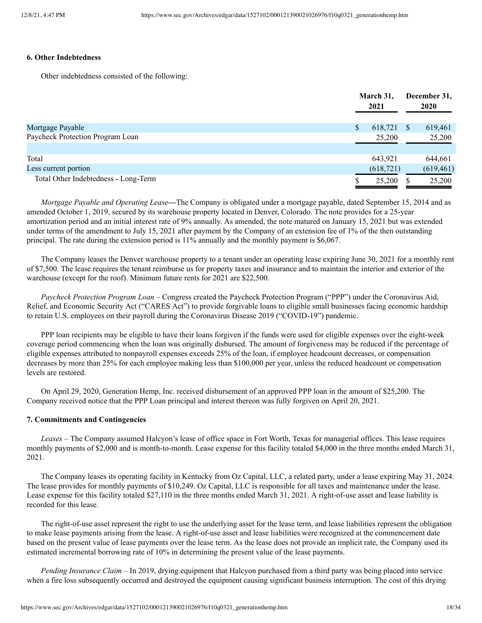# **6. Other Indebtedness**

Other indebtedness consisted of the following:

|                                      | March 31,<br>2021 |    | December 31,<br><b>2020</b> |
|--------------------------------------|-------------------|----|-----------------------------|
| Mortgage Payable                     | \$<br>618,721     | S. | 619,461                     |
| Paycheck Protection Program Loan     | 25,200            |    | 25,200                      |
| Total                                | 643,921           |    | 644,661                     |
| Less current portion                 | (618, 721)        |    | (619, 461)                  |
| Total Other Indebtedness - Long-Term | 25,200            |    | 25,200                      |

*Mortgage Payable and Operating Lease—*The Company is obligated under a mortgage payable, dated September 15, 2014 and as amended October 1, 2019, secured by its warehouse property located in Denver, Colorado. The note provides for a 25-year amortization period and an initial interest rate of 9% annually. As amended, the note matured on January 15, 2021 but was extended under terms of the amendment to July 15, 2021 after payment by the Company of an extension fee of 1% of the then outstanding principal. The rate during the extension period is 11% annually and the monthly payment is \$6,067.

The Company leases the Denver warehouse property to a tenant under an operating lease expiring June 30, 2021 for a monthly rent of \$7,500. The lease requires the tenant reimburse us for property taxes and insurance and to maintain the interior and exterior of the warehouse (except for the roof). Minimum future rents for 2021 are \$22,500.

*Paycheck Protection Program Loan –* Congress created the Paycheck Protection Program ("PPP") under the Coronavirus Aid, Relief, and Economic Security Act ("CARES Act") to provide forgivable loans to eligible small businesses facing economic hardship to retain U.S. employees on their payroll during the Coronavirus Disease 2019 ("COVID-19") pandemic.

PPP loan recipients may be eligible to have their loans forgiven if the funds were used for eligible expenses over the eight-week coverage period commencing when the loan was originally disbursed. The amount of forgiveness may be reduced if the percentage of eligible expenses attributed to nonpayroll expenses exceeds 25% of the loan, if employee headcount decreases, or compensation decreases by more than 25% for each employee making less than \$100,000 per year, unless the reduced headcount or compensation levels are restored.

On April 29, 2020, Generation Hemp, Inc. received disbursement of an approved PPP loan in the amount of \$25,200. The Company received notice that the PPP Loan principal and interest thereon was fully forgiven on April 20, 2021.

## **7. Commitments and Contingencies**

*Leases –* The Company assumed Halcyon's lease of office space in Fort Worth, Texas for managerial offices. This lease requires monthly payments of \$2,000 and is month-to-month. Lease expense for this facility totaled \$4,000 in the three months ended March 31, 2021.

The Company leases its operating facility in Kentucky from Oz Capital, LLC, a related party, under a lease expiring May 31, 2024. The lease provides for monthly payments of \$10,249. Oz Capital, LLC is responsible for all taxes and maintenance under the lease. Lease expense for this facility totaled \$27,110 in the three months ended March 31, 2021. A right-of-use asset and lease liability is recorded for this lease.

The right-of-use asset represent the right to use the underlying asset for the lease term, and lease liabilities represent the obligation to make lease payments arising from the lease. A right-of-use asset and lease liabilities were recognized at the commencement date based on the present value of lease payments over the lease term. As the lease does not provide an implicit rate, the Company used its estimated incremental borrowing rate of 10% in determining the present value of the lease payments.

*Pending Insurance Claim –* In 2019, drying equipment that Halcyon purchased from a third party was being placed into service when a fire loss subsequently occurred and destroyed the equipment causing significant business interruption. The cost of this drying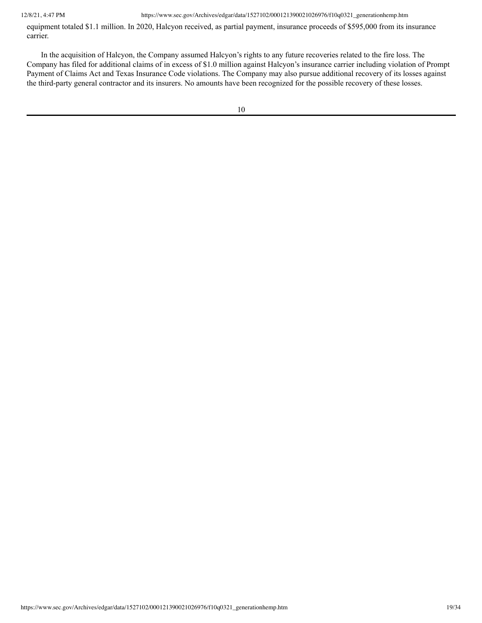equipment totaled \$1.1 million. In 2020, Halcyon received, as partial payment, insurance proceeds of \$595,000 from its insurance carrier.

In the acquisition of Halcyon, the Company assumed Halcyon's rights to any future recoveries related to the fire loss. The Company has filed for additional claims of in excess of \$1.0 million against Halcyon's insurance carrier including violation of Prompt Payment of Claims Act and Texas Insurance Code violations. The Company may also pursue additional recovery of its losses against the third-party general contractor and its insurers. No amounts have been recognized for the possible recovery of these losses.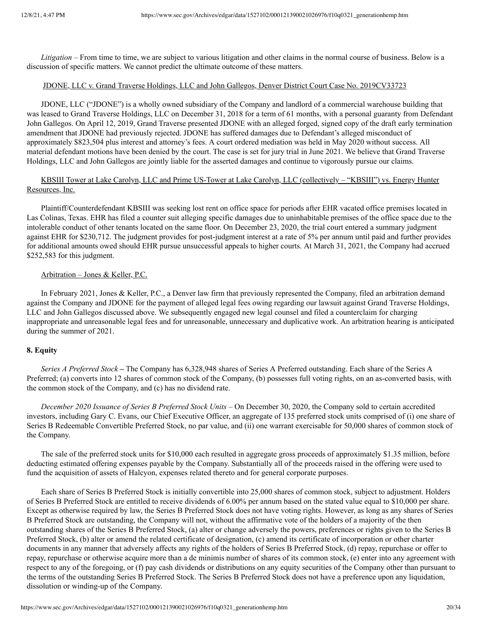*Litigation –* From time to time, we are subject to various litigation and other claims in the normal course of business. Below is a discussion of specific matters. We cannot predict the ultimate outcome of these matters.

#### JDONE, LLC v. Grand Traverse Holdings, LLC and John Gallegos, Denver District Court Case No. 2019CV33723

JDONE, LLC ("JDONE") is a wholly owned subsidiary of the Company and landlord of a commercial warehouse building that was leased to Grand Traverse Holdings, LLC on December 31, 2018 for a term of 61 months, with a personal guaranty from Defendant John Gallegos. On April 12, 2019, Grand Traverse presented JDONE with an alleged forged, signed copy of the draft early termination amendment that JDONE had previously rejected. JDONE has suffered damages due to Defendant's alleged misconduct of approximately \$823,504 plus interest and attorney's fees. A court ordered mediation was held in May 2020 without success. All material defendant motions have been denied by the court. The case is set for jury trial in June 2021. We believe that Grand Traverse Holdings, LLC and John Gallegos are jointly liable for the asserted damages and continue to vigorously pursue our claims.

# KBSIII Tower at Lake Carolyn, LLC and Prime US-Tower at Lake Carolyn, LLC (collectively – "KBSIII") vs. Energy Hunter Resources, Inc.

Plaintiff/Counterdefendant KBSIII was seeking lost rent on office space for periods after EHR vacated office premises located in Las Colinas, Texas. EHR has filed a counter suit alleging specific damages due to uninhabitable premises of the office space due to the intolerable conduct of other tenants located on the same floor. On December 23, 2020, the trial court entered a summary judgment against EHR for \$230,712. The judgment provides for post-judgment interest at a rate of 5% per annum until paid and further provides for additional amounts owed should EHR pursue unsuccessful appeals to higher courts. At March 31, 2021, the Company had accrued \$252,583 for this judgment.

#### Arbitration – Jones & Keller, P.C.

In February 2021, Jones & Keller, P.C., a Denver law firm that previously represented the Company, filed an arbitration demand against the Company and JDONE for the payment of alleged legal fees owing regarding our lawsuit against Grand Traverse Holdings, LLC and John Gallegos discussed above. We subsequently engaged new legal counsel and filed a counterclaim for charging inappropriate and unreasonable legal fees and for unreasonable, unnecessary and duplicative work. An arbitration hearing is anticipated during the summer of 2021.

#### **8. Equity**

*Series A Preferred Stock –* The Company has 6,328,948 shares of Series A Preferred outstanding. Each share of the Series A Preferred; (a) converts into 12 shares of common stock of the Company, (b) possesses full voting rights, on an as-converted basis, with the common stock of the Company, and (c) has no dividend rate.

*December 2020 Issuance of Series B Preferred Stock Units –* On December 30, 2020, the Company sold to certain accredited investors, including Gary C. Evans, our Chief Executive Officer, an aggregate of 135 preferred stock units comprised of (i) one share of Series B Redeemable Convertible Preferred Stock, no par value, and (ii) one warrant exercisable for 50,000 shares of common stock of the Company.

The sale of the preferred stock units for \$10,000 each resulted in aggregate gross proceeds of approximately \$1.35 million, before deducting estimated offering expenses payable by the Company. Substantially all of the proceeds raised in the offering were used to fund the acquisition of assets of Halcyon, expenses related thereto and for general corporate purposes.

Each share of Series B Preferred Stock is initially convertible into 25,000 shares of common stock, subject to adjustment. Holders of Series B Preferred Stock are entitled to receive dividends of 6.00% per annum based on the stated value equal to \$10,000 per share. Except as otherwise required by law, the Series B Preferred Stock does not have voting rights. However, as long as any shares of Series B Preferred Stock are outstanding, the Company will not, without the affirmative vote of the holders of a majority of the then outstanding shares of the Series B Preferred Stock, (a) alter or change adversely the powers, preferences or rights given to the Series B Preferred Stock, (b) alter or amend the related certificate of designation, (c) amend its certificate of incorporation or other charter documents in any manner that adversely affects any rights of the holders of Series B Preferred Stock, (d) repay, repurchase or offer to repay, repurchase or otherwise acquire more than a de minimis number of shares of its common stock, (e) enter into any agreement with respect to any of the foregoing, or (f) pay cash dividends or distributions on any equity securities of the Company other than pursuant to the terms of the outstanding Series B Preferred Stock. The Series B Preferred Stock does not have a preference upon any liquidation, dissolution or winding-up of the Company.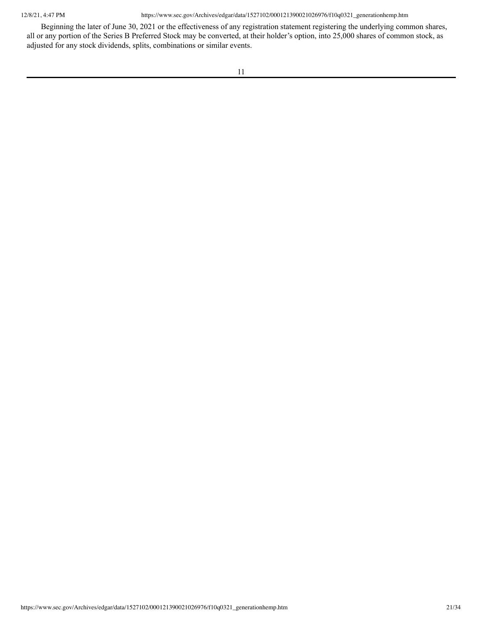Beginning the later of June 30, 2021 or the effectiveness of any registration statement registering the underlying common shares, all or any portion of the Series B Preferred Stock may be converted, at their holder's option, into 25,000 shares of common stock, as adjusted for any stock dividends, splits, combinations or similar events.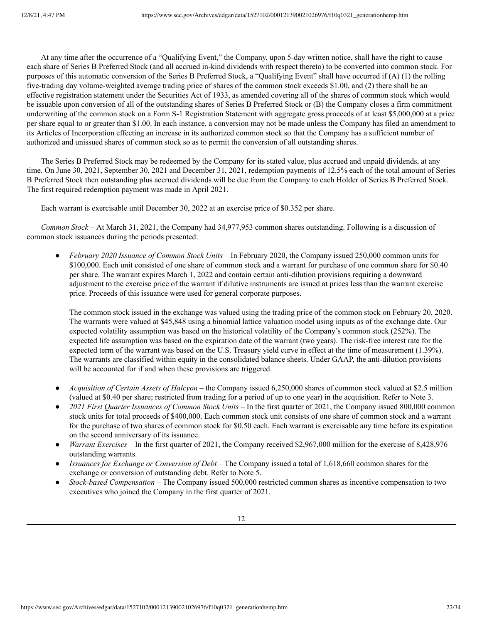At any time after the occurrence of a "Qualifying Event," the Company, upon 5-day written notice, shall have the right to cause each share of Series B Preferred Stock (and all accrued in-kind dividends with respect thereto) to be converted into common stock. For purposes of this automatic conversion of the Series B Preferred Stock, a "Qualifying Event" shall have occurred if (A) (1) the rolling five-trading day volume-weighted average trading price of shares of the common stock exceeds \$1.00, and (2) there shall be an effective registration statement under the Securities Act of 1933, as amended covering all of the shares of common stock which would be issuable upon conversion of all of the outstanding shares of Series B Preferred Stock or (B) the Company closes a firm commitment underwriting of the common stock on a Form S-1 Registration Statement with aggregate gross proceeds of at least \$5,000,000 at a price per share equal to or greater than \$1.00. In each instance, a conversion may not be made unless the Company has filed an amendment to its Articles of Incorporation effecting an increase in its authorized common stock so that the Company has a sufficient number of authorized and unissued shares of common stock so as to permit the conversion of all outstanding shares.

The Series B Preferred Stock may be redeemed by the Company for its stated value, plus accrued and unpaid dividends, at any time. On June 30, 2021, September 30, 2021 and December 31, 2021, redemption payments of 12.5% each of the total amount of Series B Preferred Stock then outstanding plus accrued dividends will be due from the Company to each Holder of Series B Preferred Stock. The first required redemption payment was made in April 2021.

Each warrant is exercisable until December 30, 2022 at an exercise price of \$0.352 per share.

*Common Stock –* At March 31, 2021, the Company had 34,977,953 common shares outstanding. Following is a discussion of common stock issuances during the periods presented:

● *February 2020 Issuance of Common Stock Units –* In February 2020, the Company issued 250,000 common units for \$100,000. Each unit consisted of one share of common stock and a warrant for purchase of one common share for \$0.40 per share. The warrant expires March 1, 2022 and contain certain anti-dilution provisions requiring a downward adjustment to the exercise price of the warrant if dilutive instruments are issued at prices less than the warrant exercise price. Proceeds of this issuance were used for general corporate purposes.

The common stock issued in the exchange was valued using the trading price of the common stock on February 20, 2020. The warrants were valued at \$45,848 using a binomial lattice valuation model using inputs as of the exchange date. Our expected volatility assumption was based on the historical volatility of the Company's common stock (252%). The expected life assumption was based on the expiration date of the warrant (two years). The risk-free interest rate for the expected term of the warrant was based on the U.S. Treasury yield curve in effect at the time of measurement (1.39%). The warrants are classified within equity in the consolidated balance sheets. Under GAAP, the anti-dilution provisions will be accounted for if and when these provisions are triggered.

- *Acquisition of Certain Assets of Halcyon* the Company issued 6,250,000 shares of common stock valued at \$2.5 million (valued at \$0.40 per share; restricted from trading for a period of up to one year) in the acquisition. Refer to Note 3.
- *2021 First Quarter Issuances of Common Stock Units* In the first quarter of 2021, the Company issued 800,000 common stock units for total proceeds of \$400,000. Each common stock unit consists of one share of common stock and a warrant for the purchase of two shares of common stock for \$0.50 each. Each warrant is exercisable any time before its expiration on the second anniversary of its issuance.
- *Warrant Exercises* In the first quarter of 2021, the Company received \$2,967,000 million for the exercise of 8,428,976 outstanding warrants.
- *Issuances for Exchange or Conversion of Debt* The Company issued a total of 1,618,660 common shares for the exchange or conversion of outstanding debt. Refer to Note 5.
- *Stock-based Compensation* The Company issued 500,000 restricted common shares as incentive compensation to two executives who joined the Company in the first quarter of 2021.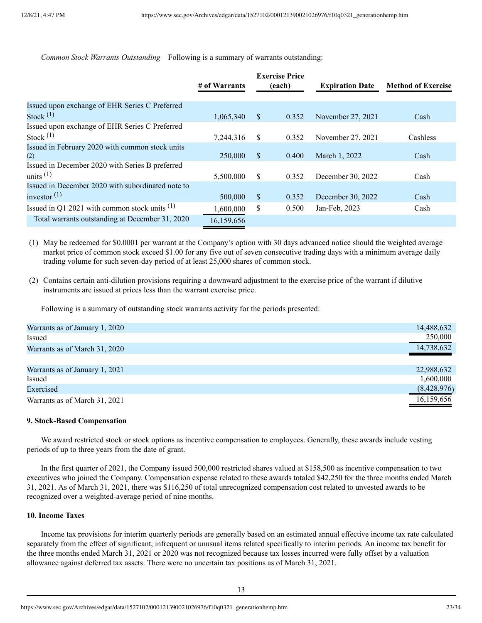*Common Stock Warrants Outstanding –* Following is a summary of warrants outstanding:

|                                                   | # of Warrants |               | <b>Exercise Price</b><br>(each) | <b>Expiration Date</b> | <b>Method of Exercise</b> |
|---------------------------------------------------|---------------|---------------|---------------------------------|------------------------|---------------------------|
| Issued upon exchange of EHR Series C Preferred    |               |               |                                 |                        |                           |
| Stock $(1)$                                       | 1,065,340     | $\mathcal{S}$ | 0.352                           | November 27, 2021      | Cash                      |
| Issued upon exchange of EHR Series C Preferred    |               |               |                                 |                        |                           |
| Stock $(1)$                                       | 7,244,316     | \$            | 0.352                           | November 27, 2021      | Cashless                  |
| Issued in February 2020 with common stock units   |               |               |                                 |                        |                           |
| (2)                                               | 250,000       | $\mathbb{S}$  | 0.400                           | March 1, 2022          | Cash                      |
| Issued in December 2020 with Series B preferred   |               |               |                                 |                        |                           |
| units $(1)$                                       | 5,500,000     | <sup>S</sup>  | 0.352                           | December 30, 2022      | Cash                      |
| Issued in December 2020 with subordinated note to |               |               |                                 |                        |                           |
| investor $(1)$                                    | 500,000       | \$            | 0.352                           | December 30, 2022      | Cash                      |
| Issued in Q1 2021 with common stock units $(1)$   | 1,600,000     | \$            | 0.500                           | Jan-Feb, 2023          | Cash                      |
| Total warrants outstanding at December 31, 2020   | 16,159,656    |               |                                 |                        |                           |

(1) May be redeemed for \$0.0001 per warrant at the Company's option with 30 days advanced notice should the weighted average market price of common stock exceed \$1.00 for any five out of seven consecutive trading days with a minimum average daily trading volume for such seven-day period of at least 25,000 shares of common stock.

(2) Contains certain anti-dilution provisions requiring a downward adjustment to the exercise price of the warrant if dilutive instruments are issued at prices less than the warrant exercise price.

Following is a summary of outstanding stock warrants activity for the periods presented:

| Warrants as of January 1, 2020 | 14,488,632  |
|--------------------------------|-------------|
| Issued                         | 250,000     |
| Warrants as of March 31, 2020  | 14,738,632  |
|                                |             |
| Warrants as of January 1, 2021 | 22,988,632  |
| Issued                         | 1,600,000   |
| Exercised                      | (8,428,976) |
| Warrants as of March 31, 2021  | 16,159,656  |
|                                |             |

#### **9. Stock-Based Compensation**

We award restricted stock or stock options as incentive compensation to employees. Generally, these awards include vesting periods of up to three years from the date of grant.

In the first quarter of 2021, the Company issued 500,000 restricted shares valued at \$158,500 as incentive compensation to two executives who joined the Company. Compensation expense related to these awards totaled \$42,250 for the three months ended March 31, 2021. As of March 31, 2021, there was \$116,250 of total unrecognized compensation cost related to unvested awards to be recognized over a weighted-average period of nine months.

# **10. Income Taxes**

Income tax provisions for interim quarterly periods are generally based on an estimated annual effective income tax rate calculated separately from the effect of significant, infrequent or unusual items related specifically to interim periods. An income tax benefit for the three months ended March 31, 2021 or 2020 was not recognized because tax losses incurred were fully offset by a valuation allowance against deferred tax assets. There were no uncertain tax positions as of March 31, 2021.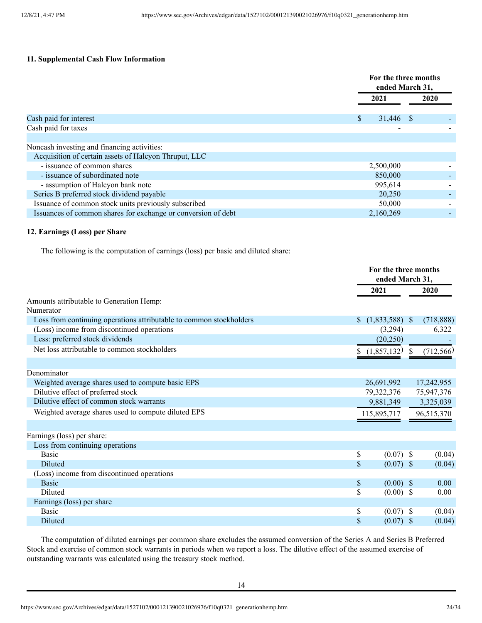## **11. Supplemental Cash Flow Information**

|                                                                            |                 | For the three months<br>ended March 31, |  |
|----------------------------------------------------------------------------|-----------------|-----------------------------------------|--|
|                                                                            | 2021            | <b>2020</b>                             |  |
| Cash paid for interest                                                     | \$<br>31,446 \$ |                                         |  |
| Cash paid for taxes                                                        |                 |                                         |  |
|                                                                            |                 |                                         |  |
| Noncash investing and financing activities:                                |                 |                                         |  |
| Acquisition of certain assets of Halcyon Thruput, LLC                      |                 |                                         |  |
| - issuance of common shares                                                | 2,500,000       |                                         |  |
| - issuance of subordinated note                                            | 850,000         |                                         |  |
| - assumption of Halcyon bank note                                          | 995,614         |                                         |  |
| Series B preferred stock dividend payable                                  | 20,250          |                                         |  |
| Issuance of common stock units previously subscribed                       | 50,000          |                                         |  |
| Issuances of common shares for exchange or conversion of debt<br>2,160,269 |                 |                                         |  |
|                                                                            |                 |                                         |  |

#### **12. Earnings (Loss) per Share**

The following is the computation of earnings (loss) per basic and diluted share:

|                                                                     |                                    | For the three months<br>ended March 31, |            |  |
|---------------------------------------------------------------------|------------------------------------|-----------------------------------------|------------|--|
|                                                                     | 2021                               |                                         | 2020       |  |
| Amounts attributable to Generation Hemp:                            |                                    |                                         |            |  |
| Numerator                                                           |                                    |                                         |            |  |
| Loss from continuing operations attributable to common stockholders | $(1,833,588)$ \$<br>$\mathbb{S}^-$ |                                         | (718, 888) |  |
| (Loss) income from discontinued operations                          | (3,294)                            |                                         | 6,322      |  |
| Less: preferred stock dividends                                     | (20, 250)                          |                                         |            |  |
| Net loss attributable to common stockholders                        | (1,857,132)                        | <sup>\$</sup>                           | (712, 566) |  |
| Denominator                                                         |                                    |                                         |            |  |
| Weighted average shares used to compute basic EPS                   | 26,691,992                         |                                         | 17,242,955 |  |
| Dilutive effect of preferred stock                                  |                                    | 79,322,376                              |            |  |
| Dilutive effect of common stock warrants                            |                                    | 75,947,376<br>3,325,039<br>9,881,349    |            |  |
| Weighted average shares used to compute diluted EPS                 |                                    | 115,895,717<br>96,515,370               |            |  |
| Earnings (loss) per share:                                          |                                    |                                         |            |  |
| Loss from continuing operations                                     |                                    |                                         |            |  |
| <b>Basic</b>                                                        | \$                                 | $(0.07)$ \$                             | (0.04)     |  |
| Diluted                                                             | \$                                 | $(0.07)$ \$                             | (0.04)     |  |
| (Loss) income from discontinued operations                          |                                    |                                         |            |  |
| <b>Basic</b>                                                        | \$                                 | $(0.00)$ \$                             | 0.00       |  |
| Diluted                                                             | \$                                 | $(0.00)$ \$                             | 0.00       |  |
| Earnings (loss) per share                                           |                                    |                                         |            |  |
| Basic                                                               | \$                                 | $(0.07)$ \$                             | (0.04)     |  |
| Diluted                                                             | \$                                 | $(0.07)$ \$                             | (0.04)     |  |

The computation of diluted earnings per common share excludes the assumed conversion of the Series A and Series B Preferred Stock and exercise of common stock warrants in periods when we report a loss. The dilutive effect of the assumed exercise of outstanding warrants was calculated using the treasury stock method.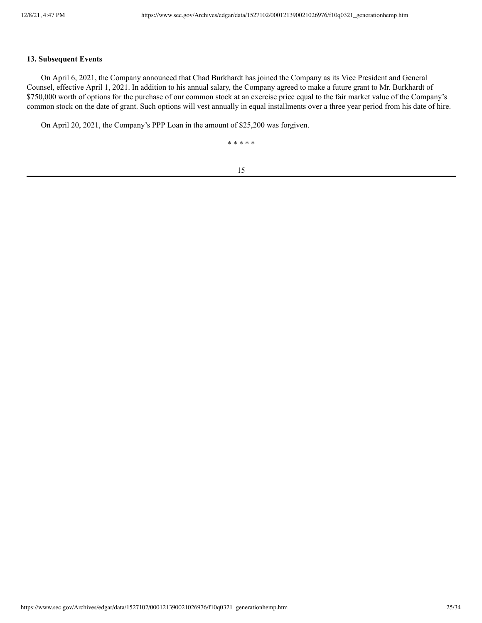#### **13. Subsequent Events**

On April 6, 2021, the Company announced that Chad Burkhardt has joined the Company as its Vice President and General Counsel, effective April 1, 2021. In addition to his annual salary, the Company agreed to make a future grant to Mr. Burkhardt of \$750,000 worth of options for the purchase of our common stock at an exercise price equal to the fair market value of the Company's common stock on the date of grant. Such options will vest annually in equal installments over a three year period from his date of hire.

On April 20, 2021, the Company's PPP Loan in the amount of \$25,200 was forgiven.

\* \* \* \* \*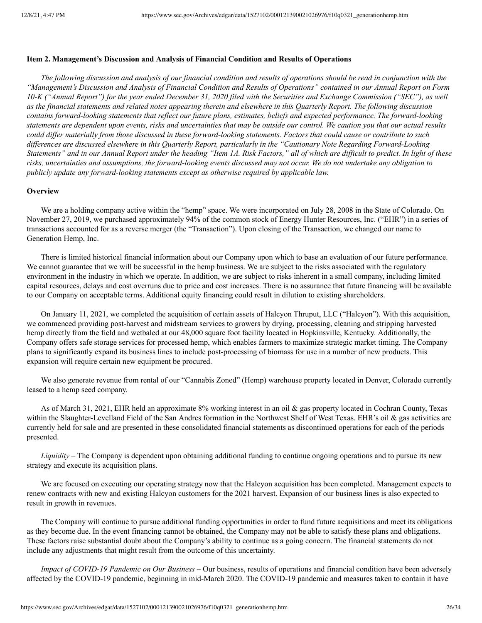#### <span id="page-25-0"></span>**Item 2. Management's Discussion and Analysis of Financial Condition and Results of Operations**

The following discussion and analysis of our financial condition and results of operations should be read in conjunction with the "Management's Discussion and Analysis of Financial Condition and Results of Operations" contained in our Annual Report on Form 10-K ("Annual Report") for the year ended December 31, 2020 filed with the Securities and Exchange Commission ("SEC"), as well as the financial statements and related notes appearing therein and elsewhere in this Quarterly Report. The following discussion contains forward-looking statements that reflect our future plans, estimates, beliefs and expected performance. The forward-looking statements are dependent upon events, risks and uncertainties that may be outside our control. We caution you that our actual results could differ materially from those discussed in these forward-looking statements. Factors that could cause or contribute to such differences are discussed elsewhere in this Quarterly Report, particularly in the "Cautionary Note Regarding Forward-Looking Statements" and in our Annual Report under the heading "Item 1A. Risk Factors," all of which are difficult to predict. In light of these risks, uncertainties and assumptions, the forward-looking events discussed may not occur. We do not undertake any obligation to *publicly update any forward-looking statements except as otherwise required by applicable law.*

### **Overview**

We are a holding company active within the "hemp" space. We were incorporated on July 28, 2008 in the State of Colorado. On November 27, 2019, we purchased approximately 94% of the common stock of Energy Hunter Resources, Inc. ("EHR") in a series of transactions accounted for as a reverse merger (the "Transaction"). Upon closing of the Transaction, we changed our name to Generation Hemp, Inc.

There is limited historical financial information about our Company upon which to base an evaluation of our future performance. We cannot guarantee that we will be successful in the hemp business. We are subject to the risks associated with the regulatory environment in the industry in which we operate. In addition, we are subject to risks inherent in a small company, including limited capital resources, delays and cost overruns due to price and cost increases. There is no assurance that future financing will be available to our Company on acceptable terms. Additional equity financing could result in dilution to existing shareholders.

On January 11, 2021, we completed the acquisition of certain assets of Halcyon Thruput, LLC ("Halcyon"). With this acquisition, we commenced providing post-harvest and midstream services to growers by drying, processing, cleaning and stripping harvested hemp directly from the field and wetbaled at our 48,000 square foot facility located in Hopkinsville, Kentucky. Additionally, the Company offers safe storage services for processed hemp, which enables farmers to maximize strategic market timing. The Company plans to significantly expand its business lines to include post-processing of biomass for use in a number of new products. This expansion will require certain new equipment be procured.

We also generate revenue from rental of our "Cannabis Zoned" (Hemp) warehouse property located in Denver, Colorado currently leased to a hemp seed company.

As of March 31, 2021, EHR held an approximate 8% working interest in an oil & gas property located in Cochran County, Texas within the Slaughter-Levelland Field of the San Andres formation in the Northwest Shelf of West Texas. EHR's oil & gas activities are currently held for sale and are presented in these consolidated financial statements as discontinued operations for each of the periods presented.

*Liquidity –* The Company is dependent upon obtaining additional funding to continue ongoing operations and to pursue its new strategy and execute its acquisition plans.

We are focused on executing our operating strategy now that the Halcyon acquisition has been completed. Management expects to renew contracts with new and existing Halcyon customers for the 2021 harvest. Expansion of our business lines is also expected to result in growth in revenues.

The Company will continue to pursue additional funding opportunities in order to fund future acquisitions and meet its obligations as they become due. In the event financing cannot be obtained, the Company may not be able to satisfy these plans and obligations. These factors raise substantial doubt about the Company's ability to continue as a going concern. The financial statements do not include any adjustments that might result from the outcome of this uncertainty.

*Impact of COVID-19 Pandemic on Our Business* – Our business, results of operations and financial condition have been adversely affected by the COVID-19 pandemic, beginning in mid-March 2020. The COVID-19 pandemic and measures taken to contain it have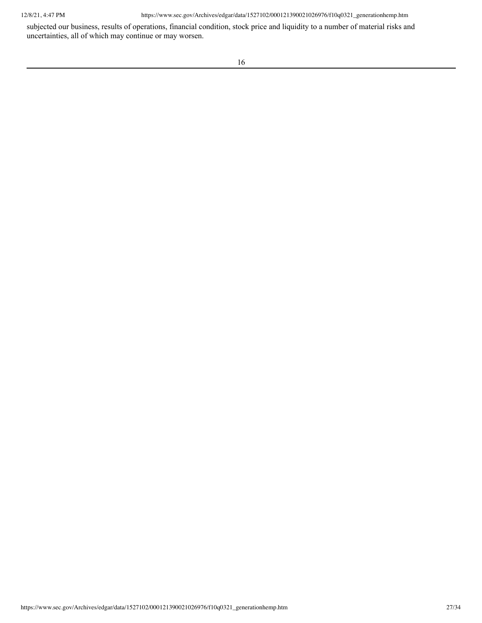subjected our business, results of operations, financial condition, stock price and liquidity to a number of material risks and uncertainties, all of which may continue or may worsen.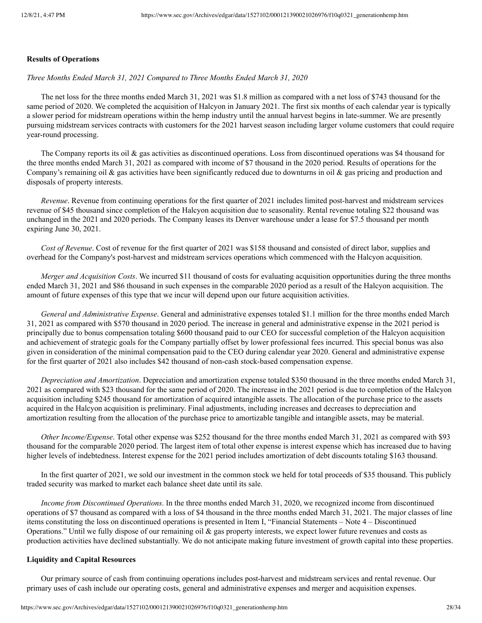#### **Results of Operations**

*Three Months Ended March 31, 2021 Compared to Three Months Ended March 31, 2020*

The net loss for the three months ended March 31, 2021 was \$1.8 million as compared with a net loss of \$743 thousand for the same period of 2020. We completed the acquisition of Halcyon in January 2021. The first six months of each calendar year is typically a slower period for midstream operations within the hemp industry until the annual harvest begins in late-summer. We are presently pursuing midstream services contracts with customers for the 2021 harvest season including larger volume customers that could require year-round processing.

The Company reports its oil & gas activities as discontinued operations. Loss from discontinued operations was \$4 thousand for the three months ended March 31, 2021 as compared with income of \$7 thousand in the 2020 period. Results of operations for the Company's remaining oil  $\&$  gas activities have been significantly reduced due to downturns in oil  $\&$  gas pricing and production and disposals of property interests.

*Revenue*. Revenue from continuing operations for the first quarter of 2021 includes limited post-harvest and midstream services revenue of \$45 thousand since completion of the Halcyon acquisition due to seasonality. Rental revenue totaling \$22 thousand was unchanged in the 2021 and 2020 periods. The Company leases its Denver warehouse under a lease for \$7.5 thousand per month expiring June 30, 2021.

*Cost of Revenue*. Cost of revenue for the first quarter of 2021 was \$158 thousand and consisted of direct labor, supplies and overhead for the Company's post-harvest and midstream services operations which commenced with the Halcyon acquisition.

*Merger and Acquisition Costs*. We incurred \$11 thousand of costs for evaluating acquisition opportunities during the three months ended March 31, 2021 and \$86 thousand in such expenses in the comparable 2020 period as a result of the Halcyon acquisition. The amount of future expenses of this type that we incur will depend upon our future acquisition activities.

*General and Administrative Expense*. General and administrative expenses totaled \$1.1 million for the three months ended March 31, 2021 as compared with \$570 thousand in 2020 period. The increase in general and administrative expense in the 2021 period is principally due to bonus compensation totaling \$600 thousand paid to our CEO for successful completion of the Halcyon acquisition and achievement of strategic goals for the Company partially offset by lower professional fees incurred. This special bonus was also given in consideration of the minimal compensation paid to the CEO during calendar year 2020. General and administrative expense for the first quarter of 2021 also includes \$42 thousand of non-cash stock-based compensation expense.

*Depreciation and Amortization*. Depreciation and amortization expense totaled \$350 thousand in the three months ended March 31, 2021 as compared with \$23 thousand for the same period of 2020. The increase in the 2021 period is due to completion of the Halcyon acquisition including \$245 thousand for amortization of acquired intangible assets. The allocation of the purchase price to the assets acquired in the Halcyon acquisition is preliminary. Final adjustments, including increases and decreases to depreciation and amortization resulting from the allocation of the purchase price to amortizable tangible and intangible assets, may be material.

*Other Income/Expense*. Total other expense was \$252 thousand for the three months ended March 31, 2021 as compared with \$93 thousand for the comparable 2020 period. The largest item of total other expense is interest expense which has increased due to having higher levels of indebtedness. Interest expense for the 2021 period includes amortization of debt discounts totaling \$163 thousand.

In the first quarter of 2021, we sold our investment in the common stock we held for total proceeds of \$35 thousand. This publicly traded security was marked to market each balance sheet date until its sale.

*Income from Discontinued Operations*. In the three months ended March 31, 2020, we recognized income from discontinued operations of \$7 thousand as compared with a loss of \$4 thousand in the three months ended March 31, 2021. The major classes of line items constituting the loss on discontinued operations is presented in Item I, "Financial Statements – Note 4 – Discontinued Operations." Until we fully dispose of our remaining oil  $\&$  gas property interests, we expect lower future revenues and costs as production activities have declined substantially. We do not anticipate making future investment of growth capital into these properties.

#### **Liquidity and Capital Resources**

Our primary source of cash from continuing operations includes post-harvest and midstream services and rental revenue. Our primary uses of cash include our operating costs, general and administrative expenses and merger and acquisition expenses.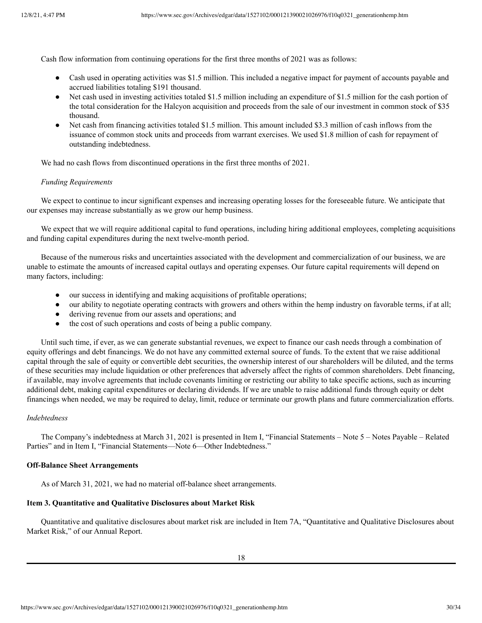Cash flow information from continuing operations for the first three months of 2021 was as follows:

- Cash used in operating activities was \$1.5 million. This included a negative impact for payment of accounts payable and accrued liabilities totaling \$191 thousand.
- Net cash used in investing activities totaled \$1.5 million including an expenditure of \$1.5 million for the cash portion of the total consideration for the Halcyon acquisition and proceeds from the sale of our investment in common stock of \$35 thousand.
- Net cash from financing activities totaled \$1.5 million. This amount included \$3.3 million of cash inflows from the issuance of common stock units and proceeds from warrant exercises. We used \$1.8 million of cash for repayment of outstanding indebtedness.

We had no cash flows from discontinued operations in the first three months of 2021.

#### *Funding Requirements*

We expect to continue to incur significant expenses and increasing operating losses for the foreseeable future. We anticipate that our expenses may increase substantially as we grow our hemp business.

We expect that we will require additional capital to fund operations, including hiring additional employees, completing acquisitions and funding capital expenditures during the next twelve-month period.

Because of the numerous risks and uncertainties associated with the development and commercialization of our business, we are unable to estimate the amounts of increased capital outlays and operating expenses. Our future capital requirements will depend on many factors, including:

- our success in identifying and making acquisitions of profitable operations;
- our ability to negotiate operating contracts with growers and others within the hemp industry on favorable terms, if at all;
- deriving revenue from our assets and operations; and
- the cost of such operations and costs of being a public company.

Until such time, if ever, as we can generate substantial revenues, we expect to finance our cash needs through a combination of equity offerings and debt financings. We do not have any committed external source of funds. To the extent that we raise additional capital through the sale of equity or convertible debt securities, the ownership interest of our shareholders will be diluted, and the terms of these securities may include liquidation or other preferences that adversely affect the rights of common shareholders. Debt financing, if available, may involve agreements that include covenants limiting or restricting our ability to take specific actions, such as incurring additional debt, making capital expenditures or declaring dividends. If we are unable to raise additional funds through equity or debt financings when needed, we may be required to delay, limit, reduce or terminate our growth plans and future commercialization efforts.

# *Indebtedness*

The Company's indebtedness at March 31, 2021 is presented in Item I, "Financial Statements – Note 5 – Notes Payable – Related Parties" and in Item I, "Financial Statements—Note 6—Other Indebtedness."

### **Off-Balance Sheet Arrangements**

<span id="page-29-0"></span>As of March 31, 2021, we had no material off-balance sheet arrangements.

#### **Item 3. Quantitative and Qualitative Disclosures about Market Risk**

Quantitative and qualitative disclosures about market risk are included in Item 7A, "Quantitative and Qualitative Disclosures about Market Risk," of our Annual Report.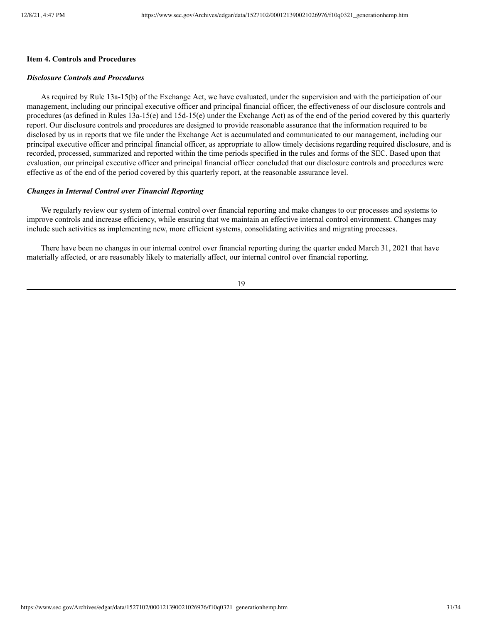## <span id="page-30-0"></span>**Item 4. Controls and Procedures**

#### *Disclosure Controls and Procedures*

As required by Rule 13a-15(b) of the Exchange Act, we have evaluated, under the supervision and with the participation of our management, including our principal executive officer and principal financial officer, the effectiveness of our disclosure controls and procedures (as defined in Rules 13a-15(e) and 15d-15(e) under the Exchange Act) as of the end of the period covered by this quarterly report. Our disclosure controls and procedures are designed to provide reasonable assurance that the information required to be disclosed by us in reports that we file under the Exchange Act is accumulated and communicated to our management, including our principal executive officer and principal financial officer, as appropriate to allow timely decisions regarding required disclosure, and is recorded, processed, summarized and reported within the time periods specified in the rules and forms of the SEC. Based upon that evaluation, our principal executive officer and principal financial officer concluded that our disclosure controls and procedures were effective as of the end of the period covered by this quarterly report, at the reasonable assurance level.

### *Changes in Internal Control over Financial Reporting*

We regularly review our system of internal control over financial reporting and make changes to our processes and systems to improve controls and increase efficiency, while ensuring that we maintain an effective internal control environment. Changes may include such activities as implementing new, more efficient systems, consolidating activities and migrating processes.

There have been no changes in our internal control over financial reporting during the quarter ended March 31, 2021 that have materially affected, or are reasonably likely to materially affect, our internal control over financial reporting.

19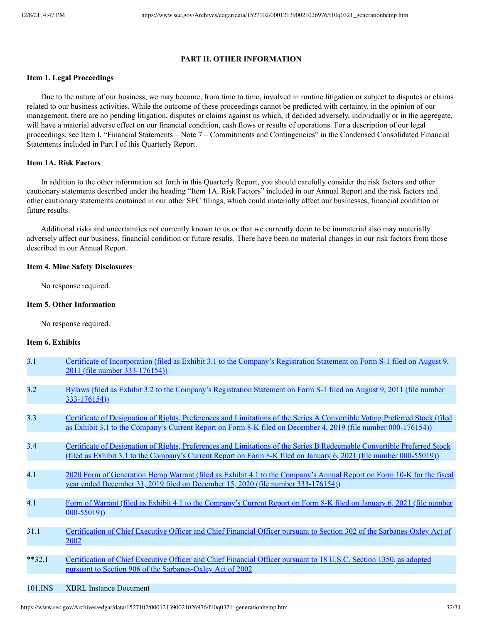## **PART II. OTHER INFORMATION**

## <span id="page-31-1"></span><span id="page-31-0"></span>**Item 1. Legal Proceedings**

Due to the nature of our business, we may become, from time to time, involved in routine litigation or subject to disputes or claims related to our business activities. While the outcome of these proceedings cannot be predicted with certainty, in the opinion of our management, there are no pending litigation, disputes or claims against us which, if decided adversely, individually or in the aggregate, will have a material adverse effect on our financial condition, cash flows or results of operations. For a description of our legal proceedings, see Item I, "Financial Statements – Note 7 – Commitments and Contingencies" in the Condensed Consolidated Financial Statements included in Part I of this Quarterly Report.

#### <span id="page-31-2"></span>**Item 1A. Risk Factors**

In addition to the other information set forth in this Quarterly Report, you should carefully consider the risk factors and other cautionary statements described under the heading "Item 1A. Risk Factors" included in our Annual Report and the risk factors and other cautionary statements contained in our other SEC filings, which could materially affect our businesses, financial condition or future results.

Additional risks and uncertainties not currently known to us or that we currently deem to be immaterial also may materially adversely affect our business, financial condition or future results. There have been no material changes in our risk factors from those described in our Annual Report.

#### <span id="page-31-3"></span>**Item 4. Mine Safety Disclosures**

No response required.

#### <span id="page-31-4"></span>**Item 5. Other Information**

No response required.

#### <span id="page-31-5"></span>**Item 6. Exhibits**

| 3.1      | Certificate of Incorporation (filed as Exhibit 3.1 to the Company's Registration Statement on Form S-1 filed on August 9,<br>2011 (file number 333-176154))                                                                                            |
|----------|--------------------------------------------------------------------------------------------------------------------------------------------------------------------------------------------------------------------------------------------------------|
|          |                                                                                                                                                                                                                                                        |
| 3.2      | Bylaws (filed as Exhibit 3.2 to the Company's Registration Statement on Form S-1 filed on August 9, 2011 (file number<br>$333 - 176154)$                                                                                                               |
|          |                                                                                                                                                                                                                                                        |
| 3.3      | Certificate of Designation of Rights, Preferences and Limitations of the Series A Convertible Voting Preferred Stock (filed<br>as Exhibit 3.1 to the Company's Current Report on Form 8-K filed on December 4, 2019 (file number 000-176154))          |
|          |                                                                                                                                                                                                                                                        |
| 3.4      | Certificate of Designation of Rights, Preferences and Limitations of the Series B Redeemable Convertible Preferred Stock<br><u>(filed as Exhibit 3.1 to the Company's Current Report on Form 8-K filed on January 6, 2021 (file number 000-55019))</u> |
|          |                                                                                                                                                                                                                                                        |
| 4.1      | 2020 Form of Generation Hemp Warrant (filed as Exhibit 4.1 to the Company's Annual Report on Form 10-K for the fiscal<br>year ended December 31, 2019 filed on December 15, 2020 (file number 333-176154))                                             |
|          |                                                                                                                                                                                                                                                        |
| 4.1      | Form of Warrant (filed as Exhibit 4.1 to the Company's Current Report on Form 8-K filed on January 6, 2021 (file number<br>$000 - 55019)$                                                                                                              |
|          |                                                                                                                                                                                                                                                        |
| 31.1     | Certification of Chief Executive Officer and Chief Financial Officer pursuant to Section 302 of the Sarbanes-Oxley Act of<br>2002                                                                                                                      |
|          |                                                                                                                                                                                                                                                        |
| $**32.1$ | Certification of Chief Executive Officer and Chief Financial Officer pursuant to 18 U.S.C. Section 1350, as adopted<br>pursuant to Section 906 of the Sarbanes-Oxley Act of 2002                                                                       |
|          |                                                                                                                                                                                                                                                        |
| 101.INS  | <b>XBRL</b> Instance Document                                                                                                                                                                                                                          |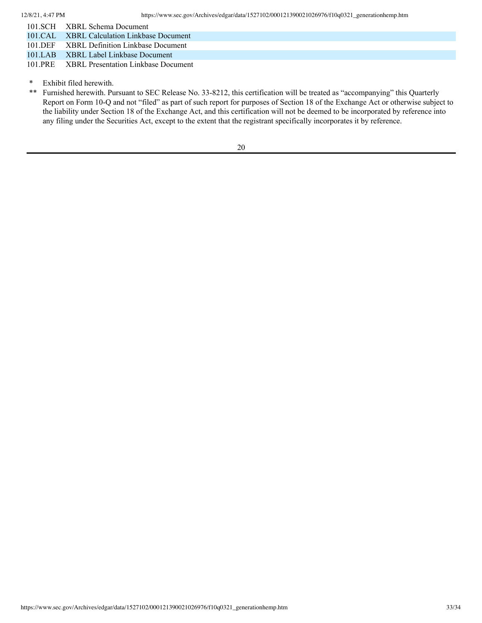| 101 SCH XBRL Schema Document                                                                                          |
|-----------------------------------------------------------------------------------------------------------------------|
| 101.CAL XBRL Calculation Linkbase Document                                                                            |
| $101 \text{ NFR}$ $37 \text{N} \text{N}$ $\text{R}$ $\text{R}$ $\text{R}$ $\text{R}$ $\text{R}$ $\text{R}$ $\text{R}$ |

101.DEF XBRL Definition Linkbase Document 101.LAB XBRL Label Linkbase Document

101.PRE XBRL Presentation Linkbase Document

<sup>\*</sup> Exhibit filed herewith.<br>\*\* Furnished herewith Pu

Furnished herewith. Pursuant to SEC Release No. 33-8212, this certification will be treated as "accompanying" this Quarterly Report on Form 10-Q and not "filed" as part of such report for purposes of Section 18 of the Exchange Act or otherwise subject to the liability under Section 18 of the Exchange Act, and this certification will not be deemed to be incorporated by reference into any filing under the Securities Act, except to the extent that the registrant specifically incorporates it by reference.